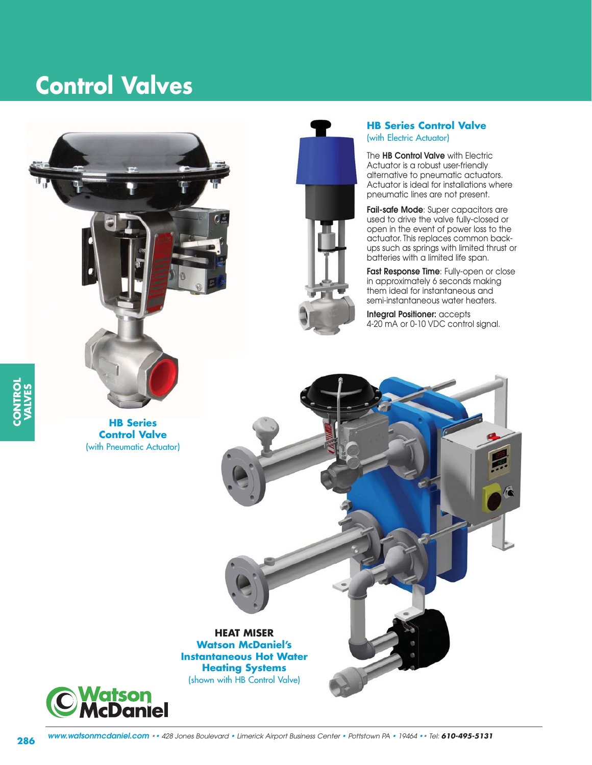# **Control Valves**



**HB Series Control Valve** (with Pneumatic Actuator)



#### **HB Series Control Valve** (with Electric Actuator)

The **HB Control Valve** with Electric Actuator is a robust user-friendly alternative to pneumatic actuators. Actuator is ideal for installations where pneumatic lines are not present.

**Fail-safe Mode**: Super capacitors are used to drive the valve fully-closed or open in the event of power loss to the actuator. This replaces common backups such as springs with limited thrust or batteries with a limited life span.

**Fast Response Time**: Fully-open or close in approximately 6 seconds making them ideal for instantaneous and semi-instantaneous water heaters.

**Integral Positioner:** accepts 4-20 mA or 0-10 VDC control signal.



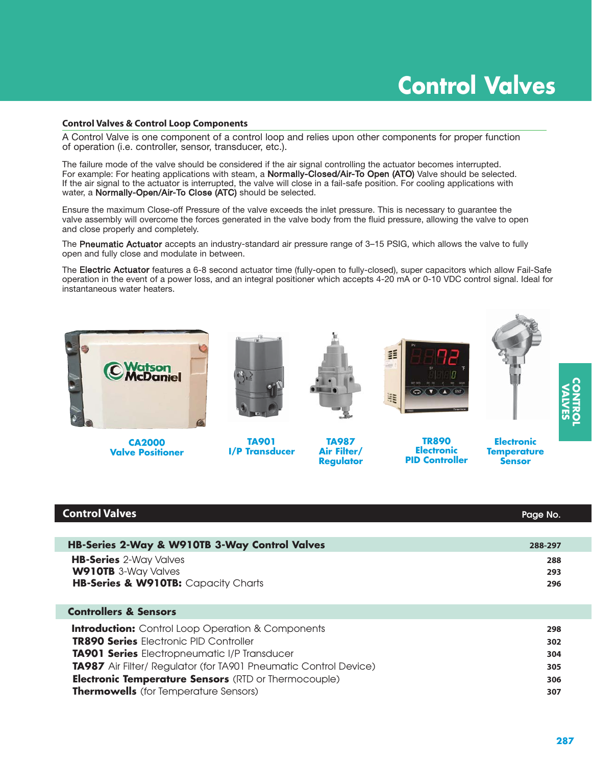# **Control Valves**

#### **Control Valves & Control Loop Components**

A Control Valve is one component of a control loop and relies upon other components for proper function of operation (i.e. controller, sensor, transducer, etc.).

The failure mode of the valve should be considered if the air signal controlling the actuator becomes interrupted. For example: For heating applications with steam, a Normally-Closed/Air-To Open (ATO) Valve should be selected. If the air signal to the actuator is interrupted, the valve will close in a fail-safe position. For cooling applications with water, a Normally-Open/Air-To Close (ATC) should be selected.

Ensure the maximum Close-off Pressure of the valve exceeds the inlet pressure. This is necessary to guarantee the valve assembly will overcome the forces generated in the valve body from the fluid pressure, allowing the valve to open and close properly and completely.

The Pneumatic Actuator accepts an industry-standard air pressure range of 3–15 PSIG, which allows the valve to fully open and fully close and modulate in between.

The Electric Actuator features a 6-8 second actuator time (fully-open to fully-closed), super capacitors which allow Fail-Safe operation in the event of a power loss, and an integral positioner which accepts 4-20 mA or 0-10 VDC control signal. Ideal for instantaneous water heaters.



**Valve Positioner**

# **I/P Transducer**



**Electronic PID Controller**

**CONTROL VALVES**

**Sensor**

| <b>Control Valves</b>                                                                                                                                                                                                                       | Page No.                 |
|---------------------------------------------------------------------------------------------------------------------------------------------------------------------------------------------------------------------------------------------|--------------------------|
|                                                                                                                                                                                                                                             |                          |
| HB-Series 2-Way & W910TB 3-Way Control Valves                                                                                                                                                                                               | 288-297                  |
| <b>HB-Series</b> 2-Way Valves<br><b>W910TB</b> 3-Way Valves<br>HB-Series & W910TB: Capacity Charts                                                                                                                                          | 288<br>293<br>296        |
| <b>Controllers &amp; Sensors</b>                                                                                                                                                                                                            |                          |
| <b>Introduction:</b> Control Loop Operation & Components<br><b>TR890 Series</b> Electronic PID Controller<br><b>TA901 Series</b> Electropneumatic I/P Transducer<br><b>TA987</b> Air Filter/ Regulator (for TA901 Pneumatic Control Device) | 298<br>302<br>304<br>305 |
| <b>Electronic Temperature Sensors (RTD or Thermocouple)</b><br><b>Thermowells</b> (for Temperature Sensors)                                                                                                                                 | 306<br>307               |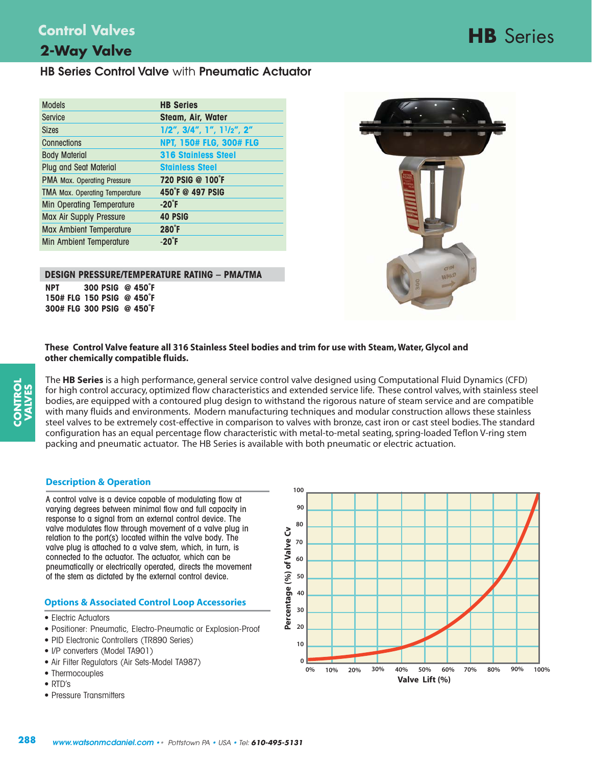**2-Way Valve** 

# **HB** Series **Control Valves**

# **HB Series Control Valve** with **Pneumatic Actuator**

| <b>Models</b>                         | <b>HB Series</b>                         |
|---------------------------------------|------------------------------------------|
| Service                               | Steam, Air, Water                        |
| <b>Sizes</b>                          | $1/2$ ", $3/4$ ", $1$ ", $11/2$ ", $2''$ |
| Connections                           | <b>NPT, 150# FLG, 300# FLG</b>           |
| <b>Body Material</b>                  | <b>316 Stainless Steel</b>               |
| <b>Plug and Seat Material</b>         | <b>Stainless Steel</b>                   |
| <b>PMA Max. Operating Pressure</b>    | 720 PSIG @ 100°F                         |
| <b>TMA Max. Operating Temperature</b> | 450°F @ 497 PSIG                         |
| <b>Min Operating Temperature</b>      | $-20^{\circ}$ F                          |
| Max Air Supply Pressure               | <b>40 PSIG</b>                           |
| <b>Max Ambient Temperature</b>        | $280^{\circ}$ F                          |
| <b>Min Ambient Temperature</b>        | $-20^{\circ}$ F                          |

#### **DESIGN PRESSURE/TEMPERATURE RATING – PMA/TMA**

**NPT 300 PSIG @ 450˚F 150# FLG 150 PSIG @ 450˚F 300# FLG 300 PSIG @ 450˚F**



**These Control Valve feature all 316 Stainless Steel bodies and trim for use with Steam, Water, Glycol and other chemically compatible fluids.**

The **HB Series** is a high performance, general service control valve designed using Computational Fluid Dynamics (CFD) for high control accuracy, optimized flow characteristics and extended service life. These control valves, with stainless steel bodies, are equipped with a contoured plug design to withstand the rigorous nature of steam service and are compatible with many fluids and environments. Modern manufacturing techniques and modular construction allows these stainless steel valves to be extremely cost-effective in comparison to valves with bronze, cast iron or cast steel bodies. The standard configuration has an equal percentage flow characteristic with metal-to-metal seating, spring-loaded Teflon V-ring stem packing and pneumatic actuator. The HB Series is available with both pneumatic or electric actuation.

#### **Description & Operation**

A control valve is a device capable of modulating flow at varying degrees between minimal flow and full capacity in response to a signal from an external control device. The valve modulates flow through movement of a valve plug in relation to the port(s) located within the valve body. The valve plug is attached to a valve stem, which, in turn, is connected to the actuator. The actuator, which can be pneumatically or electrically operated, directs the movement of the stem as dictated by the external control device.

#### **Options & Associated Control Loop Accessories**

- Electric Actuators
- Positioner: Pneumatic, Electro-Pneumatic or Explosion-Proof
- PID Electronic Controllers (TR890 Series)
- I/P converters (Model TA901)
- Air Filter Regulators (Air Sets-Model TA987)
- Thermocouples
- RTD's
- Pressure Transmitters

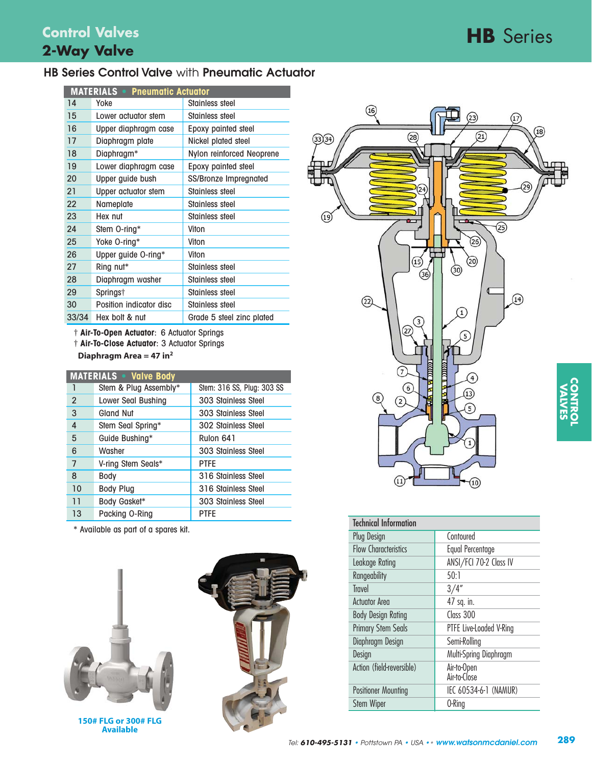# **HB** Series

### **HB Series Control Valve** with **Pneumatic Actuator**

| <b>MATERIALS • Pneumatic Actuator</b> |                         |                           |  |  |  |
|---------------------------------------|-------------------------|---------------------------|--|--|--|
| 14                                    | Yoke                    | Stainless steel           |  |  |  |
| 15                                    | Lower actuator stem     | Stainless steel           |  |  |  |
| 16                                    | Upper diaphragm case    | Epoxy painted steel       |  |  |  |
| 17                                    | Diaphragm plate         | Nickel plated steel       |  |  |  |
| 18                                    | Diaphragm*              | Nylon reinforced Neoprene |  |  |  |
| 19                                    | Lower diaphragm case    | Epoxy painted steel       |  |  |  |
| 20                                    | Upper guide bush        | SS/Bronze Impregnated     |  |  |  |
| 21                                    | Upper actuator stem     | Stainless steel           |  |  |  |
| 22                                    | Nameplate               | Stainless steel           |  |  |  |
| 23                                    | Hex nut                 | Stainless steel           |  |  |  |
| 24                                    | Stem O-ring*            | Viton                     |  |  |  |
| 25                                    | Yoke O-ring*            | Viton                     |  |  |  |
| 26                                    | Upper guide O-ring*     | Viton                     |  |  |  |
| 27                                    | Ring nut*               | Stainless steel           |  |  |  |
| 28                                    | Diaphragm washer        | Stainless steel           |  |  |  |
| 29                                    | Springs†                | Stainless steel           |  |  |  |
| 30                                    | Position indicator disc | Stainless steel           |  |  |  |
| 33/34                                 | Hex bolt & nut          | Grade 5 steel zinc plated |  |  |  |

† **Air-To-Open Actuator**: 6 Actuator Springs

† **Air-To-Close Actuator**: 3 Actuator Springs

**Diaphragm Area = 47 in2**

|                | <b>MATERIALS • Valve Body</b> |                            |  |  |  |  |  |
|----------------|-------------------------------|----------------------------|--|--|--|--|--|
| 1              | Stem & Plug Assembly*         | Stem: 316 SS, Plug: 303 SS |  |  |  |  |  |
| $\overline{2}$ | Lower Seal Bushing            | 303 Stainless Steel        |  |  |  |  |  |
| 3              | Gland Nut                     | 303 Stainless Steel        |  |  |  |  |  |
| 4              | Stem Seal Spring*             | 302 Stainless Steel        |  |  |  |  |  |
| 5              | Guide Bushing*                | Rulon 641                  |  |  |  |  |  |
| 6              | Washer                        | 303 Stainless Steel        |  |  |  |  |  |
| 7              | V-ring Stem Seals*            | <b>PTFE</b>                |  |  |  |  |  |
| 8              | Body                          | 316 Stainless Steel        |  |  |  |  |  |
| 10             | <b>Body Plug</b>              | 316 Stainless Steel        |  |  |  |  |  |
| 11             | Body Gasket*                  | 303 Stainless Steel        |  |  |  |  |  |
| 13             | Packing O-Ring                | <b>PTFE</b>                |  |  |  |  |  |

\* Available as part of a spares kit.



**150# FLG or 300# FLG Available**





| <b>Technical Information</b> |                             |
|------------------------------|-----------------------------|
| <b>Plug Design</b>           | Contoured                   |
| <b>Flow Characteristics</b>  | Equal Percentage            |
| Leakage Rating               | ANSI/FCI 70-2 Class IV      |
| Rangeability                 | 50:1                        |
| <b>Travel</b>                | 3/4''                       |
| <b>Actuator Area</b>         | 47 sq. in.                  |
| <b>Body Design Rating</b>    | Class 300                   |
| <b>Primary Stem Seals</b>    | PTFE Live-Loaded V-Ring     |
| Diaphragm Design             | Semi-Rolling                |
| Design                       | Multi-Spring Diaphragm      |
| Action (field-reversible)    | Air-to-Open<br>Air-to-Close |
| <b>Positioner Mounting</b>   | IEC 60534-6-1 (NAMUR)       |
| <b>Stem Wiper</b>            | 0-Ring                      |

**CONTROL**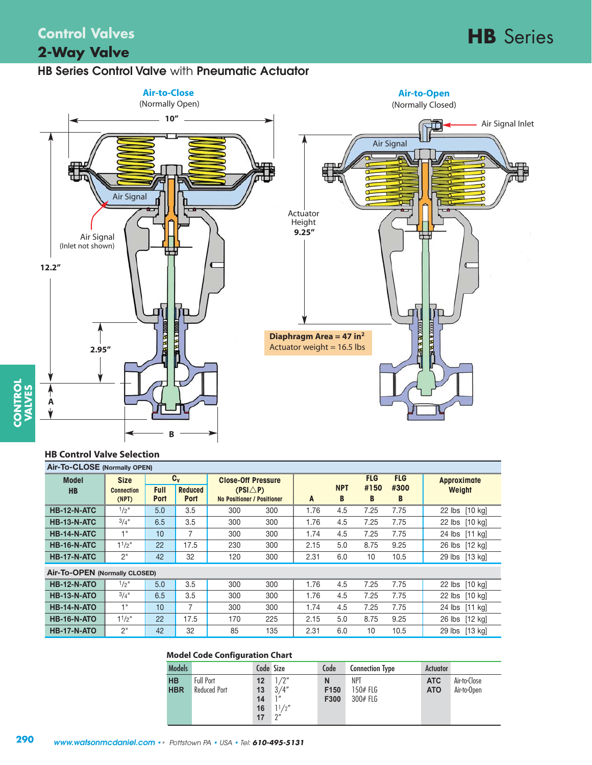# **HB** Series **Control Valves 2-Way Valve**

### **HB Series Control Valve** with **Pneumatic Actuator**



#### **HB Control Valve Selection**

**CONTROL**

| Air-To-CLOSE (Normally OPEN)  |                   |             |                |                                   |     |      |            |            |            |                    |
|-------------------------------|-------------------|-------------|----------------|-----------------------------------|-----|------|------------|------------|------------|--------------------|
| <b>Model</b>                  | <b>Size</b>       |             | $C_v$          | <b>Close-Off Pressure</b>         |     |      |            | <b>FLG</b> | <b>FLG</b> | <b>Approximate</b> |
| <b>HB</b>                     | <b>Connection</b> | <b>Full</b> | <b>Reduced</b> | $(PSI\triangle P)$                |     |      | <b>NPT</b> | #150       | #300       | Weight             |
|                               | (NPT)             | <b>Port</b> | <b>Port</b>    | <b>No Positioner / Positioner</b> |     | A    | B          | B          | B          |                    |
| <b>HB-12-N-ATC</b>            | $1/2$ "           | 5.0         | 3.5            | 300                               | 300 | 1.76 | 4.5        | 7.25       | 7.75       | 22 lbs [10 kg]     |
| <b>HB-13-N-ATC</b>            | $3/4$ "           | 6.5         | 3.5            | 300                               | 300 | 1.76 | 4.5        | 7.25       | 7.75       | 22 lbs [10 kg]     |
| <b>HB-14-N-ATC</b>            | 1"                | 10          | 7              | 300                               | 300 | 1.74 | 4.5        | 7.25       | 7.75       | 24 lbs [11 kg]     |
| <b>HB-16-N-ATC</b>            | $11/2$ "          | 22          | 17.5           | 230                               | 300 | 2.15 | 5.0        | 8.75       | 9.25       | 26 lbs [12 kg]     |
| <b>HB-17-N-ATC</b>            | 2"                | 42          | 32             | 120                               | 300 | 2.31 | 6.0        | 10         | 10.5       | 29 lbs [13 kg]     |
| Air-To-OPEN (Normally CLOSED) |                   |             |                |                                   |     |      |            |            |            |                    |
| <b>HB-12-N-ATO</b>            | $1/2$ "           | 5.0         | 3.5            | 300                               | 300 | 1.76 | 4.5        | 7.25       | 7.75       | 22 lbs [10 kg]     |
| <b>HB-13-N-ATO</b>            | 3/4''             | 6.5         | 3.5            | 300                               | 300 | 1.76 | 4.5        | 7.25       | 7.75       | 22 lbs [10 kg]     |
| <b>HB-14-N-ATO</b>            | 1"                | 10          | 7              | 300                               | 300 | 1.74 | 4.5        | 7.25       | 7.75       | 24 lbs [11 kg]     |
| <b>HB-16-N-ATO</b>            | $1^{1}/2$ "       | 22          | 17.5           | 170                               | 225 | 2.15 | 5.0        | 8.75       | 9.25       | 26 lbs [12 kg]     |
| <b>HB-17-N-ATO</b>            | 2"                | 42          | 32             | 85                                | 135 | 2.31 | 6.0        | 10         | 10.5       | 29 lbs [13 kg]     |

#### **Model Code Configuration Chart**

| Models                  |                                         | Code Size                  |                                                      | Code              | <b>Connection Type</b>             | Actuator                 |                             |
|-------------------------|-----------------------------------------|----------------------------|------------------------------------------------------|-------------------|------------------------------------|--------------------------|-----------------------------|
| <b>HB</b><br><b>HBR</b> | <b>Full Port</b><br><b>Reduced Port</b> | 12<br>13<br>14<br>16<br>17 | 1/2"<br>3/4''<br>1''<br>11/2''<br>$2^{\prime\prime}$ | N<br>F150<br>F300 | <b>NPT</b><br>150# FLG<br>300# FLG | <b>ATC</b><br><b>ATO</b> | Air-to-Close<br>Air-to-Open |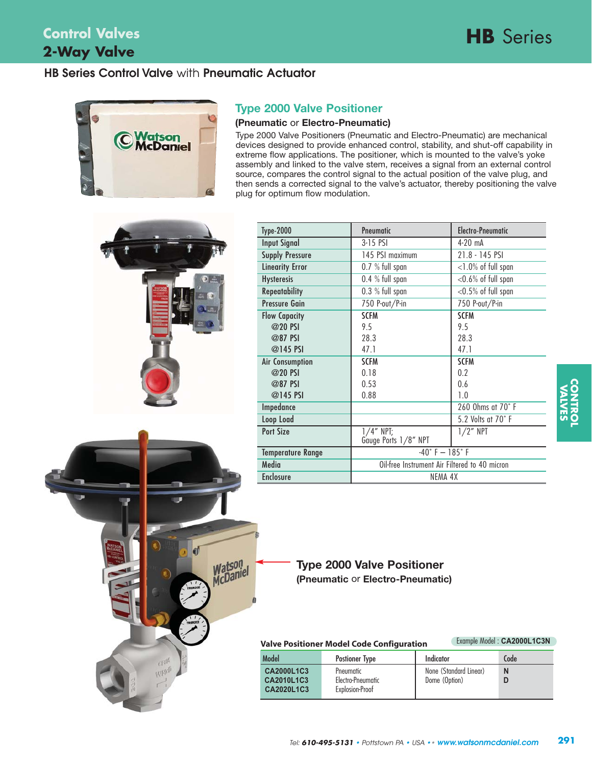# **2-Way Valve Control Valves**

## **HB Series Control Valve** with **Pneumatic Actuator**



### **Type 2000 Valve Positioner**

#### **(Pneumatic** or **Electro-Pneumatic)**

Type 2000 Valve Positioners (Pneumatic and Electro-Pneumatic) are mechanical devices designed to provide enhanced control, stability, and shut-off capability in extreme flow applications. The positioner, which is mounted to the valve's yoke assembly and linked to the valve stem, receives a signal from an external control source, compares the control signal to the actual position of the valve plug, and then sends a corrected signal to the valve's actuator, thereby positioning the valve plug for optimum flow modulation.



Wildo

Watson<br>McDaniel

| <b>Type-2000</b>         | Pneumatic                                     | <b>Electro-Pneumatic</b> |  |
|--------------------------|-----------------------------------------------|--------------------------|--|
| <b>Input Signal</b>      | $3-15$ PSI                                    | $4-20$ mA                |  |
| <b>Supply Pressure</b>   | 145 PSI maximum                               | 21.8 - 145 PSI           |  |
| <b>Linearity Error</b>   | 0.7 % full span                               | $<$ 1.0% of full span    |  |
| <b>Hysteresis</b>        | 0.4 % full span                               | $<$ 0.6% of full span    |  |
| <b>Repeatability</b>     | 0.3 % full span                               | $<$ 0.5% of full span    |  |
| <b>Pressure Gain</b>     | 750 P-out/P-in                                | 750 P-out/P-in           |  |
| <b>Flow Capacity</b>     | <b>SCFM</b>                                   | <b>SCFM</b>              |  |
| @20 PSI                  | 9.5                                           | 9.5                      |  |
| @87 PSI                  | 28.3                                          | 28.3                     |  |
| @145 PSI                 | 47.1                                          | 47.1                     |  |
| Air Consumption          | <b>SCFM</b>                                   | <b>SCFM</b>              |  |
| @20 PSI                  | 0.18                                          | 0.2                      |  |
| @87 PSI                  | 0.53                                          | 0.6                      |  |
| @145 PSI                 | 0.88                                          | 1.0                      |  |
| Impedance                |                                               | 260 Ohms at 70° F        |  |
| Loop Load                |                                               | 5.2 Volts at 70°F        |  |
| <b>Port Size</b>         | $1/4$ " NPT;                                  | $1/2$ " NPT              |  |
|                          | Gauge Ports 1/8" NPT                          |                          |  |
| <b>Temperature Range</b> | $-40° F - 185° F$                             |                          |  |
| Media                    | Oil-free Instrument Air Filtered to 40 micron |                          |  |
| <b>Enclosure</b>         | NEMA 4X                                       |                          |  |

### **Type 2000 Valve Positioner (Pneumatic** or **Electro-Pneumatic)**

| Valve Positioner Model Code Configuration |  |
|-------------------------------------------|--|
|-------------------------------------------|--|

|  | Example Model: CA2000L1C3N |
|--|----------------------------|
|  |                            |

| Model                                                | <b>Postioner Type</b>                             | Indicator                               | Code |
|------------------------------------------------------|---------------------------------------------------|-----------------------------------------|------|
| <b>CA2000L1C3</b><br>CA2010L1C3<br><b>CA2020L1C3</b> | Pneumatic<br>Electro-Pneumatic<br>Explosion-Proof | None (Standard Linear)<br>Dome (Option) | N    |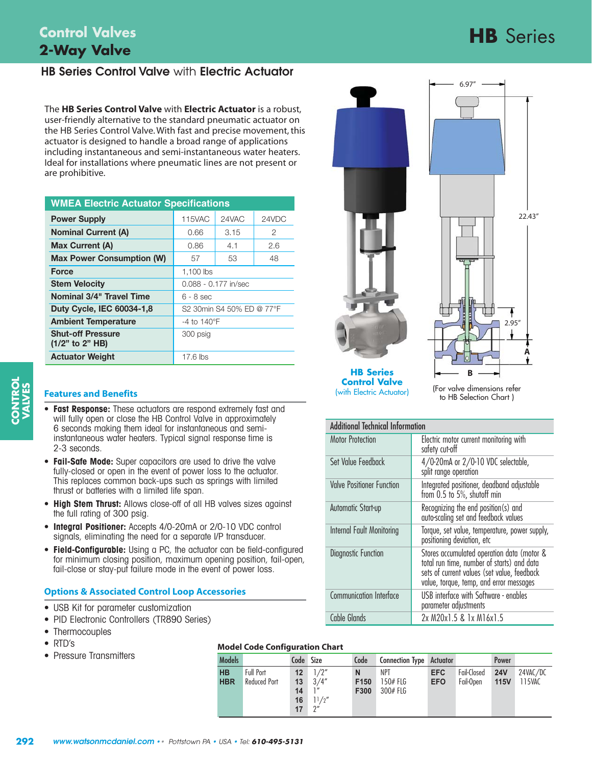# **HB** Series **Control Valves 2-Way Valve**

## **HB Series Control Valve** with **Electric Actuator**

The **HB Series Control Valve** with **Electric Actuator** is a robust, user-friendly alternative to the standard pneumatic actuator on the HB Series Control Valve. With fast and precise movement, this actuator is designed to handle a broad range of applications including instantaneous and semi-instantaneous water heaters. Ideal for installations where pneumatic lines are not present or are prohibitive.

| <b>WMEA Electric Actuator Specifications</b>  |                                 |  |  |  |  |
|-----------------------------------------------|---------------------------------|--|--|--|--|
| <b>Power Supply</b>                           | <b>115VAC</b><br>24VAC<br>24VDC |  |  |  |  |
| <b>Nominal Current (A)</b>                    | 2<br>0.66<br>3.15               |  |  |  |  |
| <b>Max Current (A)</b>                        | 2.6<br>0.86<br>4.1              |  |  |  |  |
| <b>Max Power Consumption (W)</b>              | 53<br>48<br>57                  |  |  |  |  |
| <b>Force</b>                                  | 1,100 lbs                       |  |  |  |  |
| <b>Stem Velocity</b>                          | $0.088 - 0.177$ in/sec          |  |  |  |  |
| <b>Nominal 3/4" Travel Time</b>               | $6 - 8$ sec                     |  |  |  |  |
| <b>Duty Cycle, IEC 60034-1,8</b>              | S2 30min S4 50% ED @ 77°F       |  |  |  |  |
| <b>Ambient Temperature</b>                    | $-4$ to 140 $\degree$ F         |  |  |  |  |
| <b>Shut-off Pressure</b><br>$(1/2"$ to 2" HB) | 300 psig                        |  |  |  |  |
| <b>Actuator Weight</b>                        | $17.6$ lbs                      |  |  |  |  |

### **Features and Benefits**

- **Fast Response:** These actuators are respond extremely fast and will fully open or close the HB Control Valve in approximately 6 seconds making them ideal for instantaneous and semiinstantaneous water heaters. Typical signal response time is 2-3 seconds.
- **Fail-Safe Mode:** Super capacitors are used to drive the valve fully-closed or open in the event of power loss to the actuator. This replaces common back-ups such as springs with limited thrust or batteries with a limited life span.
- **High Stem Thrust:** Allows close-off of all HB valves sizes against the full rating of 300 psig.
- **Integral Positioner:** Accepts 4/0-20mA or 2/0-10 VDC control signals, eliminating the need for a separate I/P transducer.
- **Field-Configurable:** Using a PC, the actuator can be field-configured for minimum closing position, maximum opening position, fail-open, fail-close or stay-put failure mode in the event of power loss.

### **Options & Associated Control Loop Accessories**

- USB Kit for parameter customization
- PID Electronic Controllers (TR890 Series)
- Thermocouples
- RTD's
- Pressure Transmitters

|  |  | <b>Model Code Configuration Chart</b> |  |
|--|--|---------------------------------------|--|
|--|--|---------------------------------------|--|

| <b>Models</b> |                     | Code Size       |        | Code             | <b>Connection Type Actuator</b> |            |             | <b>Power</b> |          |
|---------------|---------------------|-----------------|--------|------------------|---------------------------------|------------|-------------|--------------|----------|
| <b>HB</b>     | Full Port           | 12 <sup>2</sup> | 1/2"   | N                | NPT                             | <b>EFC</b> | Fail-Closed | <b>24V</b>   | 24VAC/DC |
| <b>HBR</b>    | <b>Reduced Port</b> | 13 <sup>7</sup> | 3/4''  | F <sub>150</sub> | $150#$ FLG                      | <b>EFO</b> | Fail-Open   | <b>115V</b>  | 115VAC   |
|               |                     | 14              | י ו    | F300             | $300#$ FLG                      |            |             |              |          |
|               |                     | 16 <sup>1</sup> | 11/y'' |                  |                                 |            |             |              |          |
|               |                     | 17              | 2''    |                  |                                 |            |             |              |          |



**HB Series Control Valve** (with Electric Actuator)

(For valve dimensions refer to HB Selection Chart )

**B**

| Additional Technical Information |                                                                                                                                                                                    |
|----------------------------------|------------------------------------------------------------------------------------------------------------------------------------------------------------------------------------|
| <b>Motor Protection</b>          | Electric motor current monitoring with<br>safety cut-off                                                                                                                           |
| Set Value Feedback               | 4/0-20mA or 2/0-10 VDC selectable,<br>split range operation                                                                                                                        |
| <b>Valve Positioner Function</b> | Integrated positioner, deadband adjustable<br>from 0.5 to 5%, shutoff min                                                                                                          |
| Automatic Start-up               | Recognizing the end position(s) and<br>auto-scaling set and feedback values                                                                                                        |
| Internal Fault Monitoring        | Torque, set value, temperature, power supply,<br>positioning deviation, etc                                                                                                        |
| <b>Diagnostic Function</b>       | Stores accumulated operation data (motor &<br>total run time, number of starts) and data<br>sets of current values (set value, feedback<br>value, torque, temp, and error messages |
| <b>Communication Interface</b>   | USB interface with Software - enables<br>parameter adjustments                                                                                                                     |
| Cable Glands                     | 2x M20x1.5 & 1x M16x1.5                                                                                                                                                            |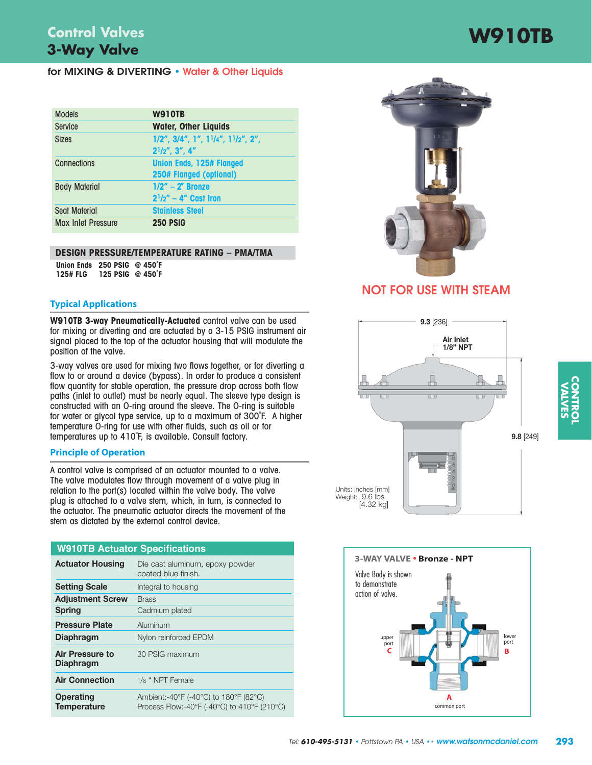# **W910TB 3-Way Valve Control Valves**

#### **for MIXING & DIVERTING • Water & Other Liquids**

| <b>Models</b>             | <b>W910TB</b>                                                              |
|---------------------------|----------------------------------------------------------------------------|
| <b>Service</b>            | <b>Water, Other Liquids</b>                                                |
| <b>Sizes</b>              | $1/2$ ", $3/4$ ", $1$ ", $11/4$ ", $11/2$ ", $2$ ",<br>$2^{1}/2$ ", 3", 4" |
| Connections               | <b>Union Ends, 125# Flanged</b><br>250# Flanged (optional)                 |
| <b>Body Material</b>      | $1/2" - 2"$ Bronze<br>$2^{1}/2'' - 4''$ Cast Iron                          |
| <b>Seat Material</b>      | <b>Stainless Steel</b>                                                     |
| <b>Max Inlet Pressure</b> | <b>250 PSIG</b>                                                            |

#### **DESIGN PRESSURE/TEMPERATURE RATING – PMA/TMA**

**Union Ends 250 PSIG @ 450˚F 125# FLG 125 PSIG @ 450˚F**

#### **Typical Applications**

**W910TB 3-way Pneumatically-Actuated** control valve can be used for mixing or diverting and are actuated by a 3-15 PSIG instrument air signal placed to the top of the actuator housing that will modulate the position of the valve.

3-way valves are used for mixing two flows together, or for diverting a flow to or around a device (bypass). In order to produce a consistent flow quantity for stable operation, the pressure drop across both flow paths (inlet to outlet) must be nearly equal. The sleeve type design is constructed with an O-ring around the sleeve. The O-ring is suitable for water or glycol type service, up to a maximum of 300˚F. A higher temperature O-ring for use with other fluids, such as oil or for temperatures up to 410˚F, is available. Consult factory.

#### **Principle of Operation**

A control valve is comprised of an actuator mounted to a valve. The valve modulates flow through movement of a valve plug in relation to the port(s) located within the valve body. The valve plug is attached to a valve stem, which, in turn, is connected to the actuator. The pneumatic actuator directs the movement of the stem as dictated by the external control device.

| <b>W910TB Actuator Specifications</b>  |                                                                                      |
|----------------------------------------|--------------------------------------------------------------------------------------|
| <b>Actuator Housing</b>                | Die cast aluminum, epoxy powder<br>coated blue finish.                               |
| <b>Setting Scale</b>                   | Integral to housing                                                                  |
| <b>Adjustment Screw</b>                | <b>Brass</b>                                                                         |
| <b>Spring</b>                          | Cadmium plated                                                                       |
| <b>Pressure Plate</b>                  | Aluminum                                                                             |
| <b>Diaphragm</b>                       | Nylon reinforced EPDM                                                                |
| Air Pressure to<br><b>Diaphragm</b>    | 30 PSIG maximum                                                                      |
| <b>Air Connection</b>                  | $1/s$ " NPT Female                                                                   |
| <b>Operating</b><br><b>Temperature</b> | Ambient:-40°F (-40°C) to 180°F (82°C)<br>Process Flow:-40°F (-40°C) to 410°F (210°C) |



### **NOT FOR USE WITH STEAM**



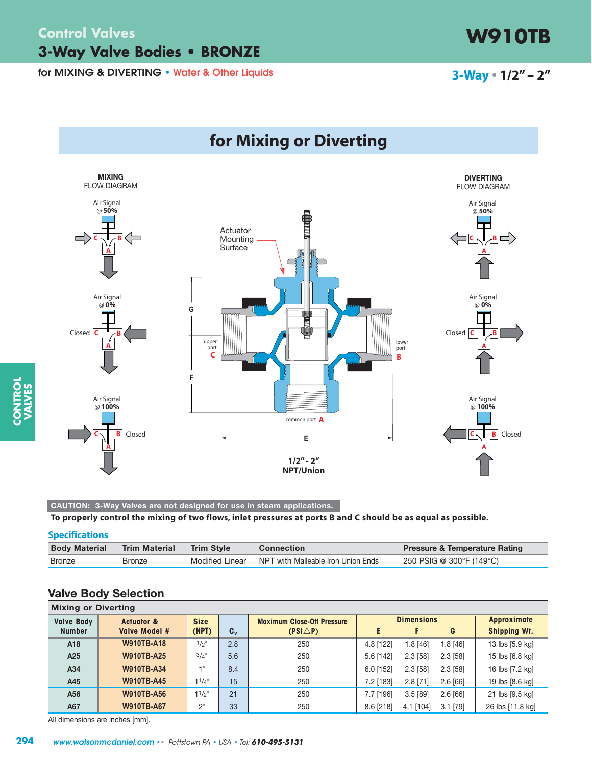### **Control Valves W910TB 3-Way Valve Bodies • BRONZE**

**for MIXING & DIVERTING • Water & Other Liquids**





**CAUTION: 3-Way Valves are not designed for use in steam applications.**

**To properly control the mixing of two flows, inlet pressures at ports B and C should be as equal as possible.**

#### **Specifications**

| <b>Body Material</b> | <b>Trim Material</b> | <b>Trim Style</b> | <b>Connection</b>                  | <b>Pressure &amp; Temperature Rating</b> |
|----------------------|----------------------|-------------------|------------------------------------|------------------------------------------|
| Bronze               | Bronze               | Modified Linear   | NPT with Malleable Iron Union Ends | 250 PSIG @ 300°F (149°C)                 |

#### **Valve Body Selection**

| <b>Mixing or Diverting</b> |                       |             |         |                                   |           |                   |            |                     |  |
|----------------------------|-----------------------|-------------|---------|-----------------------------------|-----------|-------------------|------------|---------------------|--|
| <b>Valve Body</b>          | <b>Actuator &amp;</b> | <b>Size</b> |         | <b>Maximum Close-Off Pressure</b> |           | <b>Dimensions</b> |            | <b>Approximate</b>  |  |
| <b>Number</b>              | Valve Model #         | (NPT)       | $C_{v}$ | $(PSI\triangle P)$                |           |                   | G          | <b>Shipping Wt.</b> |  |
| A18                        | <b>W910TB-A18</b>     | $1/2$ "     | 2.8     | 250                               | 4.8 [122] | 1.8 [46]          | $1.8$ [46] | 13 lbs [5.9 kg]     |  |
| A25                        | <b>W910TB-A25</b>     | $3/4$ "     | 5.6     | 250                               | 5.6 [142] | 2.3 [58]          | $2.3$ [58] | 15 lbs [6.8 kg]     |  |
| A34                        | <b>W910TB-A34</b>     | $-1$        | 8.4     | 250                               | 6.0 [152] | $2.3$ [58]        | $2.3$ [58] | 16 lbs [7.2 kg]     |  |
| A45                        | <b>W910TB-A45</b>     | $1^{1}/4$ " | 15      | 250                               | 7.2 [183] | $2.8$ [71]        | $2.6$ [66] | 19 lbs [8.6 kg]     |  |
| A56                        | <b>W910TB-A56</b>     | $11/2$ "    | 21      | 250                               | 7.7 [196] | 3.5[89]           | $2.6$ [66] | 21 lbs [9.5 kg]     |  |
| A67                        | <b>W910TB-A67</b>     | 2"          | 33      | 250                               | 8.6 [218] | 4.1 [104]         | $3.1$ [79] | 26 lbs [11.8 kg]    |  |

All dimensions are inches [mm].

**CONTROL VALVES**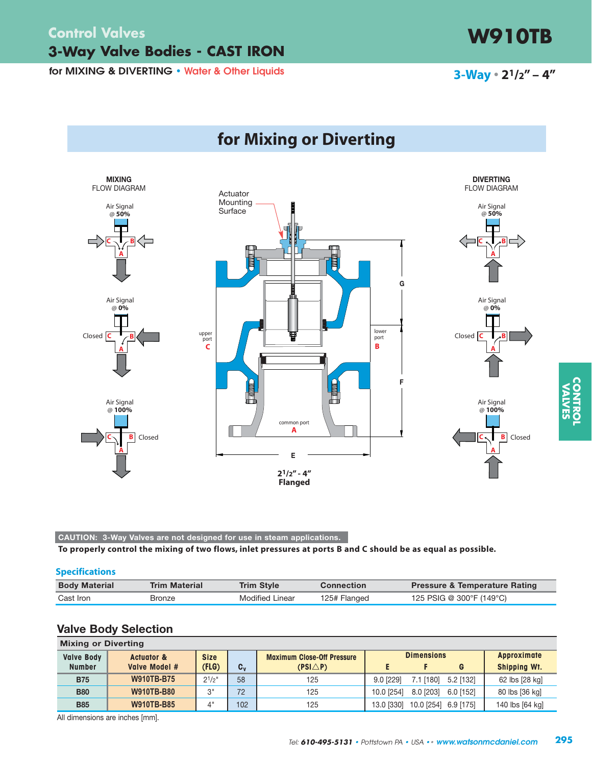# **3-Way Valve Bodies - CAST IRON Control Valves**

**for MIXING & DIVERTING • Water & Other Liquids**



**CAUTION: 3-Way Valves are not designed for use in steam applications.**

**To properly control the mixing of two flows, inlet pressures at ports B and C should be as equal as possible.**

#### **Specifications**

| <b>Body Material</b> | <b>Trim Material</b> | Trim Style             | <b>Connection</b> | <b>Pressure &amp; Temperature Rating</b> |
|----------------------|----------------------|------------------------|-------------------|------------------------------------------|
| Cast Iron            | Bronze               | <b>Modified Linear</b> | 125# Flanged      | 125 PSIG @ 300°F (149°C)                 |

#### **Valve Body Selection**

| <b>Mixing or Diverting</b> |                       |                |         |                                   |                   |            |             |                     |  |
|----------------------------|-----------------------|----------------|---------|-----------------------------------|-------------------|------------|-------------|---------------------|--|
| <b>Valve Body</b>          | <b>Actuator &amp;</b> | <b>Size</b>    |         | <b>Maximum Close-Off Pressure</b> | <b>Dimensions</b> |            | Approximate |                     |  |
| <b>Number</b>              | Valve Model #         | (FLG)          | $C_{v}$ | $(PSI\triangle P)$                |                   |            | G           | <b>Shipping Wt.</b> |  |
| <b>B75</b>                 | <b>W910TB-B75</b>     | $2^{1/2}$      | 58      | 125                               | 9.0 [229]         | 7.1 [180]  | 5.2 [132]   | 62 lbs [28 kg]      |  |
| <b>B80</b>                 | <b>W910TB-B80</b>     | 3"             | 72      | 125                               | 10.0 [254]        | 8.0 [203]  | 6.0 [152]   | 80 lbs [36 kg]      |  |
| <b>B85</b>                 | <b>W910TB-B85</b>     | $\mathcal{A}'$ | 102     | 125                               | 13.0 [330]        | 10.0 [254] | 6.9 [175]   | 140 lbs [64 kg]     |  |

All dimensions are inches [mm].



# **3-Way • 21/2" – 4"**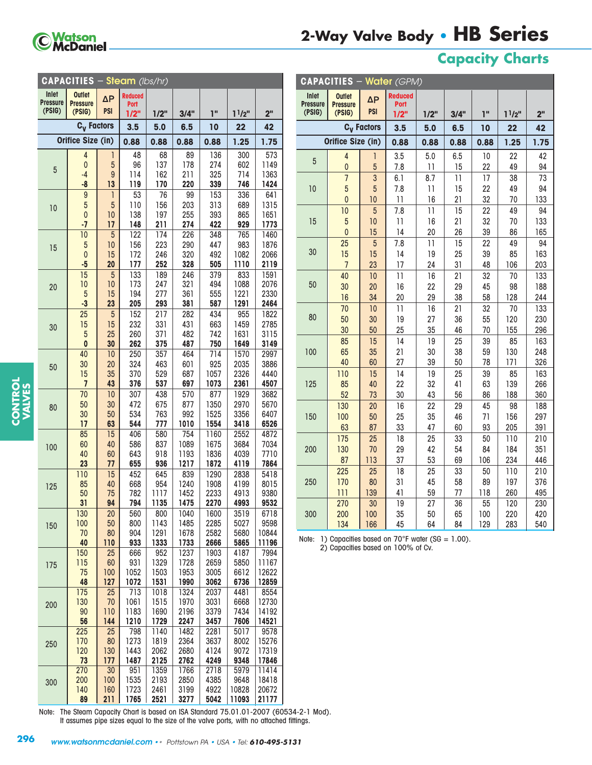

# **2-Way Valve Body • HB Series**

**CAPACITIES** – **Water** (GPM)

# **Capacity Charts**

| Inlet<br><b>Outlet</b><br><b>Reduced</b><br>$\Delta P$<br><b>Pressure</b><br><b>Pressure</b><br>Port |              |                 |
|------------------------------------------------------------------------------------------------------|--------------|-----------------|
|                                                                                                      |              |                 |
| (PSIG)<br><b>PSI</b><br>(PSIG)<br>ī"<br>1/2"<br>3/4"<br>1/2"                                         | $1^{1/2}$    | 2 <sup>''</sup> |
| C <sub>v</sub> Factors<br>6.5<br>3.5<br>5.0<br>10                                                    | 22           | 42              |
| Orifice Size (in)                                                                                    |              |                 |
| 0.88<br>0.88<br>0.88<br>0.88                                                                         | 1.25         | 1.75            |
| 48<br>89<br>136<br>4<br>68<br>1<br>5<br>137<br>96<br>178<br>274<br>0                                 | 300<br>602   | 573<br>1149     |
| 5<br>162<br>211<br>325<br>9<br>114<br>-4                                                             | 714          | 1363            |
| 119<br>170<br>339<br>$-8$<br>13<br>220                                                               | 746          | 1424            |
| 153<br>9<br>1<br>53<br>76<br>99                                                                      | 336          | 641             |
| 5<br>5<br>203<br>110<br>156<br>313<br>10                                                             | 689          | 1315            |
| 197<br>0<br>10<br>138<br>255<br>393<br>211<br>274<br>422<br>$-7$<br>148<br>17                        | 865<br>929   | 1651<br>1773    |
| 5<br>174<br>226<br>10<br>122<br>348                                                                  | 765          | 1460            |
| 10<br>156<br>223<br>290<br>5<br>447<br>15                                                            | 983          | 1876            |
| 172<br>246<br>320<br>492<br>$\mathbf{0}$<br>15                                                       | 1082         | 2066            |
| 328<br>20<br>177<br>252<br>505<br>$-5$                                                               | 1110         | 2119            |
| 15<br>5<br>133<br>189<br>246<br>379<br>10<br>10<br>173<br>247<br>321<br>494                          | 833<br>1088  | 1591<br>2076    |
| 20<br>194<br>361<br>555<br>5<br>277<br>15                                                            | 1221         | 2330            |
| 205<br>$-3$<br>23<br>293<br>381<br>587                                                               | 1291         | 2464            |
| 25<br>5<br>152<br>217<br>282<br>434                                                                  | 955          | 1822            |
| 15<br>232<br>331<br>15<br>431<br>663<br>30                                                           | 1459         | 2785            |
| 482<br>5<br>25<br>260<br>371<br>742<br>0<br>30<br>262<br>375<br>487<br>750                           | 1631<br>1649 | 3115<br>3149    |
| 250<br>357<br>40<br>464<br>714<br>10                                                                 | 1570         | 2997            |
| 324<br>463<br>601<br>925<br>30<br>20<br>50                                                           | 2035         | 3886            |
| 15<br>35<br>370<br>529<br>687<br>1057                                                                | 2326         | 4440            |
| $\overline{7}$<br>43<br>376<br>537<br>697<br>1073                                                    | 2361         | 4507            |
| 70<br>10<br>307<br>438<br>570<br>877<br>50<br>30<br>472<br>675<br>877<br>1350                        | 1929<br>2970 | 3682<br>5670    |
| 80<br>30<br>534<br>763<br>992<br>1525<br>50                                                          | 3356         | 6407            |
| 17<br>63<br>544<br>777<br>1010<br>1554                                                               | 3418         | 6526            |
| 85<br>15<br>406<br>580<br>754<br>1160                                                                | 2552         | 4872            |
| 837<br>1089<br>60<br>40<br>586<br>1675<br>100                                                        | 3684         | 7034            |
| 40<br>643<br>918<br>1193<br>60<br>1836<br>23<br>77<br>655<br>936<br>1217<br>1872                     | 4039<br>4119 | 7710<br>7864    |
| 110<br>15<br>452<br>645<br>839<br>1290                                                               | 2838         | 5418            |
| 85<br>668<br>954<br>1240<br>1908<br>40<br>125                                                        | 4199         | 8015            |
| 50<br>75<br>782<br>1117<br>1452<br>2233                                                              | 4913         | 9380            |
| 31<br>94<br>794<br>1135<br>1475<br>2270                                                              | 4993         | 9532            |
| 130<br>20<br>560<br>800<br>1040<br>1600<br>100<br>50<br>800<br>1143<br>1485<br>2285                  | 3519<br>5027 | 6718<br>9598    |
| 150<br>70<br>80<br>904<br>1291<br>1678<br>2582                                                       | 5680         | 10844           |
| 40<br>110<br>933<br>1333<br>1733<br>2666                                                             | 5865         | 11196           |
| 666<br>952<br>150<br>25<br>1237<br>1903                                                              | 4187         | 7994            |
| 931<br>1329<br>115<br>60<br>1728<br>2659<br>175<br>1052<br>75<br>100<br>1503<br>1953<br>3005         | 5850<br>6612 | 11167<br>12622  |
| 48<br>127<br>1072<br>1531<br>1990<br>3062                                                            | 6736         | 12859           |
| 175<br>713<br>1324<br>25<br>1018<br>2037                                                             | 4481         | 8554            |
| 130<br>1061<br>3031<br>70<br>1515<br>1970<br>200                                                     | 6668         | 12730           |
| 90<br>110<br>1183<br>1690<br>2196<br>3379<br>56<br>144<br>1729<br>1210<br>2247<br>3457               | 7434<br>7606 | 14192<br>14521  |
| 225<br>798<br>1140<br>25<br>1482<br>2281                                                             | 5017         | 9578            |
| 170<br>80<br>1273<br>1819<br>2364<br>3637<br>250                                                     | 8002         | 15276           |
| 120<br>130<br>1443<br>2062<br>2680<br>4124                                                           | 9072         | 17319           |
| 73<br>177<br>1487<br>2125<br>2762<br>4249                                                            | 9348         | 17846           |
| 270<br>$\overline{30}$<br>951<br>1359<br>1766<br>2718<br>200<br>100<br>1535<br>2193<br>2850<br>4385  | 5979<br>9648 | 11414<br>18418  |
| 300<br>140<br>160<br>1723<br>3199<br>4922<br>2461                                                    | 10828        | 20672           |
| 211<br>89<br>1765<br>2521<br>3277<br>5042                                                            | 11093        | 21177           |

| Inlet<br><b>Pressure</b><br>(PSIG) | <b>Outlet</b><br><b>Pressure</b><br>(PSIG) | $\Delta P$<br><b>PSI</b> | <b>Reduced</b><br>Port<br>1/2" | 1/2"            | 3/4"     | ī"       | $1^{1/2}$  | 2 <sup>''</sup> |
|------------------------------------|--------------------------------------------|--------------------------|--------------------------------|-----------------|----------|----------|------------|-----------------|
|                                    |                                            | C <sub>v</sub> Factors   |                                |                 |          |          |            |                 |
|                                    |                                            |                          | 3.5                            | 5.0             | 6.5      | 10       | 22         | 42              |
|                                    | Orifice Size (in)                          |                          | 0.88                           | 0.88            | 0.88     | 0.88     | 1.25       | 1.75            |
| $\overline{5}$                     | 4                                          | 1                        | 3.5                            | 5.0             | 6.5      | 10       | 22         | 42              |
|                                    | $\mathbf 0$                                | 5                        | 7.8                            | 11              | 15       | 22       | 49         | 94              |
|                                    | $\overline{7}$                             | 3                        | 6.1                            | 8.7             | 11       | 17       | 38         | 73              |
| 10                                 | 5                                          | 5                        | 7.8                            | 11              | 15       | 22       | 49         | 94              |
|                                    | $\mathbf{0}$                               | 10                       | $\overline{11}$                | 16              | 21       | 32       | 70         | 133             |
|                                    | 10                                         | 5                        | 7.8                            | $\overline{11}$ | 15       | 22       | 49         | 94              |
| 15                                 | $\overline{5}$                             | 10                       | $\overline{11}$                | 16              | 21       | 32       | 70         | 133             |
|                                    | $\mathbf{0}$                               | 15                       | 14                             | 20              | 26       | 39       | 86         | 165             |
|                                    | 25                                         | $\overline{5}$           | 7.8                            | $\overline{11}$ | 15       | 22       | 49         | 94              |
| 30                                 | 15                                         | 15                       | 14                             | 19              | 25       | 39       | 85         | 163             |
|                                    | $\overline{7}$                             | 23                       | 17                             | 24              | 31       | 48       | 106        | 203             |
|                                    | 40                                         | 10                       | 11                             | 16              | 21       | 32       | 70         | 133             |
| 50                                 | 30                                         | 20                       | 16                             | 22              | 29       | 45       | 98         | 188             |
|                                    | 16                                         | 34                       | 20                             | 29              | 38       | 58       | 128        | 244             |
|                                    | 70                                         | 10                       | 11                             | 16              | 21       | 32       | 70         | 133             |
| 80                                 | 50                                         | 30                       | 19                             | 27              | 36       | 55       | 120        | 230             |
|                                    | 30                                         | 50                       | 25                             | 35              | 46       | 70       | 155        | 296             |
|                                    | 85                                         | 15                       | 14                             | 19              | 25       | 39       | 85         | 163             |
| 100                                | 65                                         | 35                       | 21                             | 30              | 38       | 59       | 130        | 248             |
|                                    | 40                                         | 60                       | 27                             | 39              | 50       | 78       | 171        | 326             |
| 125                                | 110                                        | 15                       | 14                             | 19              | 25       | 39       | 85         | 163             |
|                                    | 85<br>52                                   | 40<br>73                 | 22<br>30                       | 32<br>43        | 41<br>56 | 63<br>86 | 139<br>188 | 266<br>360      |
|                                    | 130                                        | 20                       | 16                             | 22              | 29       | 45       | 98         | 188             |
| 150                                | 100                                        | 50                       | 25                             | 35              | 46       | 71       | 156        | 297             |
|                                    | 63                                         | 87                       | 33                             | 47              | 60       | 93       | 205        | 391             |
|                                    | 175                                        | 25                       | 18                             | 25              | 33       | 50       | 110        | 210             |
| 200                                | 130                                        | 70                       | 29                             | 42              | 54       | 84       | 184        | 351             |
|                                    | 87                                         | 113                      | 37                             | 53              | 69       | 106      | 234        | 446             |
|                                    | 225                                        | 25                       | 18                             | 25              | 33       | 50       | 110        | 210             |
| 250                                | 170                                        | 80                       | 31                             | 45              | 58       | 89       | 197        | 376             |
|                                    | 111                                        | 139                      | 41                             | 59              | 77       | 118      | 260        | 495             |
|                                    | 270                                        | 30                       | 19                             | 27              | 36       | 55       | 120        | 230             |
| 300                                | 200                                        | 100                      | 35                             | 50              | 65       | 100      | 220        | 420             |
|                                    | 134                                        | 166                      | 45                             | 64              | 84       | 129      | 283        | 540             |

Note: 1) Capacities based on  $70^{\circ}$ F water (SG = 1.00).

2) Capacities based on 100% of Cv.

Note: The Steam Capacity Chart is based on ISA Standard 75.01.01-2007 (60534-2-1 Mod). It assumes pipe sizes equal to the size of the valve ports, with no attached fittings.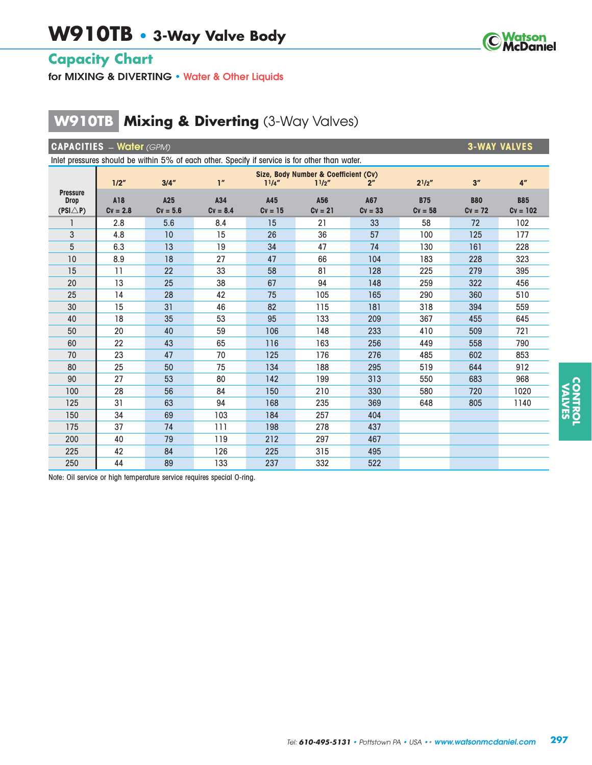

# **Capacity Chart**

**for MIXING & DIVERTING • Water & Other Liquids**

# **W910TB Mixing & Diverting** (3-Way Valves)

| <b>CAPACITIES</b> - Water (GPM)<br><b>3-WAY VALVES</b>                                         |                 |                                      |                 |             |             |                |             |            |                 |  |  |
|------------------------------------------------------------------------------------------------|-----------------|--------------------------------------|-----------------|-------------|-------------|----------------|-------------|------------|-----------------|--|--|
| Inlet pressures should be within 5% of each other. Specify if service is for other than water. |                 |                                      |                 |             |             |                |             |            |                 |  |  |
|                                                                                                |                 | Size, Body Number & Coefficient (Cv) |                 |             |             |                |             |            |                 |  |  |
|                                                                                                | 1/2"            | 3/4''                                | 1 <sup>''</sup> | $1^{1}/4''$ | $1^{1}/2''$ | 2 <sup>n</sup> | $2^{1}/2''$ | 3''        | 4 <sup>''</sup> |  |  |
| <b>Pressure</b><br><b>Drop</b>                                                                 | A18             | A25                                  | A34             | A45         | A56         | A67            | <b>B75</b>  | <b>B80</b> | <b>B85</b>      |  |  |
| $(PSI\triangle P)$                                                                             | $Cv = 2.8$      | $Cv = 5.6$                           | $Cv = 8.4$      | $Cv = 15$   | $Cv = 21$   | $Cv = 33$      | $Cv = 58$   | $Cv = 72$  | $Cv = 102$      |  |  |
|                                                                                                | 2.8             | 5.6                                  | 8.4             | 15          | 21          | 33             | 58          | 72         | 102             |  |  |
| 3                                                                                              | 4.8             | 10                                   | 15              | 26          | 36          | 57             | 100         | 125        | 177             |  |  |
| 5                                                                                              | 6.3             | 13                                   | 19              | 34          | 47          | 74             | 130         | 161        | 228             |  |  |
| 10                                                                                             | 8.9             | 18                                   | 27              | 47          | 66          | 104            | 183         | 228        | 323             |  |  |
| 15                                                                                             | $\overline{11}$ | 22                                   | 33              | 58          | 81          | 128            | 225         | 279        | 395             |  |  |
| 20                                                                                             | 13              | 25                                   | 38              | 67          | 94          | 148            | 259         | 322        | 456             |  |  |
| 25                                                                                             | 14              | 28                                   | 42              | 75          | 105         | 165            | 290         | 360        | 510             |  |  |
| 30                                                                                             | 15              | 31                                   | 46              | 82          | 115         | 181            | 318         | 394        | 559             |  |  |
| 40                                                                                             | 18              | 35                                   | 53              | 95          | 133         | 209            | 367         | 455        | 645             |  |  |
| 50                                                                                             | 20              | 40                                   | 59              | 106         | 148         | 233            | 410         | 509        | 721             |  |  |
| 60                                                                                             | 22              | 43                                   | 65              | 116         | 163         | 256            | 449         | 558        | 790             |  |  |
| 70                                                                                             | 23              | 47                                   | 70              | 125         | 176         | 276            | 485         | 602        | 853             |  |  |
| 80                                                                                             | 25              | 50                                   | 75              | 134         | 188         | 295            | 519         | 644        | 912             |  |  |
| 90                                                                                             | 27              | 53                                   | 80              | 142         | 199         | 313            | 550         | 683        | 968             |  |  |
| 100                                                                                            | 28              | 56                                   | 84              | 150         | 210         | 330            | 580         | 720        | 1020            |  |  |
| 125                                                                                            | 31              | 63                                   | 94              | 168         | 235         | 369            | 648         | 805        | 1140            |  |  |
| 150                                                                                            | 34              | 69                                   | 103             | 184         | 257         | 404            |             |            |                 |  |  |
| 175                                                                                            | 37              | 74                                   | 111             | 198         | 278         | 437            |             |            |                 |  |  |
| 200                                                                                            | 40              | 79                                   | 119             | 212         | 297         | 467            |             |            |                 |  |  |
| 225                                                                                            | 42              | 84                                   | 126             | 225         | 315         | 495            |             |            |                 |  |  |
| 250                                                                                            | 44              | 89                                   | 133             | 237         | 332         | 522            |             |            |                 |  |  |

Note: Oil service or high temperature service requires special O-ring.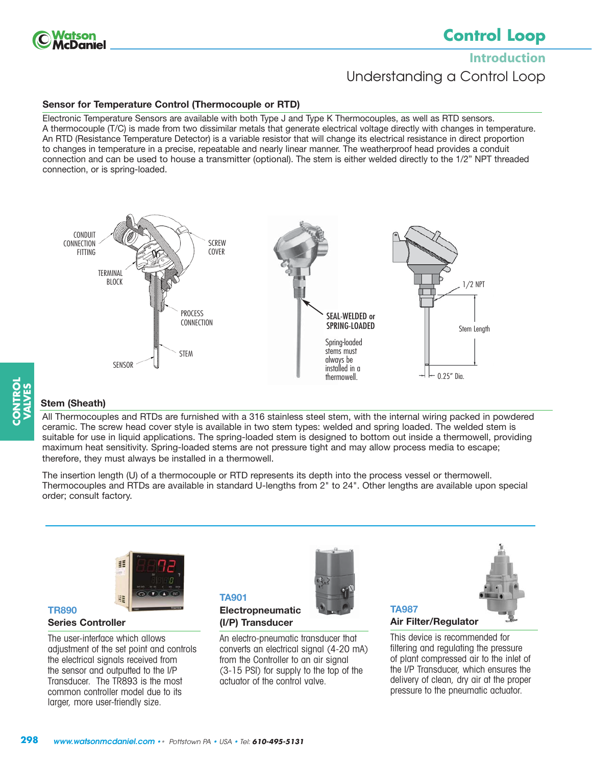

# **Control Loop**

**Introduction** Understanding a Control Loop

#### **Sensor for Temperature Control (Thermocouple or RTD)**

Electronic Temperature Sensors are available with both Type J and Type K Thermocouples, as well as RTD sensors. A thermocouple (T/C) is made from two dissimilar metals that generate electrical voltage directly with changes in temperature. An RTD (Resistance Temperature Detector) is a variable resistor that will change its electrical resistance in direct proportion to changes in temperature in a precise, repeatable and nearly linear manner. The weatherproof head provides a conduit connection and can be used to house a transmitter (optional). The stem is either welded directly to the 1/2" NPT threaded connection, or is spring-loaded.



# **CONTROL VALVES**

#### **Stem (Sheath)**

All Thermocouples and RTDs are furnished with a 316 stainless steel stem, with the internal wiring packed in powdered ceramic. The screw head cover style is available in two stem types: welded and spring loaded. The welded stem is suitable for use in liquid applications. The spring-loaded stem is designed to bottom out inside a thermowell, providing maximum heat sensitivity. Spring-loaded stems are not pressure tight and may allow process media to escape; therefore, they must always be installed in a thermowell.

The insertion length (U) of a thermocouple or RTD represents its depth into the process vessel or thermowell. Thermocouples and RTDs are available in standard U-lengths from 2" to 24". Other lengths are available upon special order; consult factory.

> An electro-pneumatic transducer that converts an electrical signal (4-20 mA) from the Controller to an air signal (3-15 PSI) for supply to the top of the

actuator of the control valve.

**TA901**

**Electropneumatic (I/P) Transducer** 



#### **Series Controller**

**TR890**

The user-interface which allows adjustment of the set point and controls the electrical signals received from the sensor and outputted to the I/P Transducer. The TR893 is the most common controller model due to its larger, more user-friendly size.





### **Air Filter/Regulator** This device is recommended for

**TA987** 

filtering and regulating the pressure of plant compressed air to the inlet of the I/P Transducer, which ensures the delivery of clean, dry air at the proper pressure to the pneumatic actuator.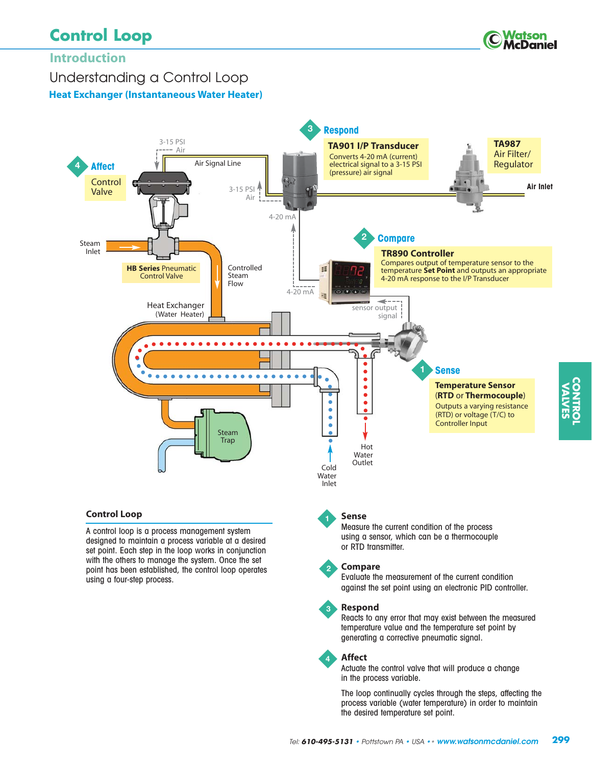# **Control Loop**



**CONTROL VALVES**

# **Introduction**

Understanding a Control Loop

**Heat Exchanger (Instantaneous Water Heater)** 



A control loop is a process management system designed to maintain a process variable at a desired set point. Each step in the loop works in conjunction with the others to manage the system. Once the set point has been established, the control loop operates using a four-step process.

#### using a sensor, which can be a thermocouple or RTD transmitter.



**3**

#### **Compare**

Evaluate the measurement of the current condition against the set point using an electronic PID controller.

#### **Respond**

Reacts to any error that may exist between the measured temperature value and the temperature set point by generating a corrective pneumatic signal.

#### **Affect 4**

Actuate the control valve that will produce a change in the process variable.

The loop continually cycles through the steps, affecting the process variable (water temperature) in order to maintain the desired temperature set point.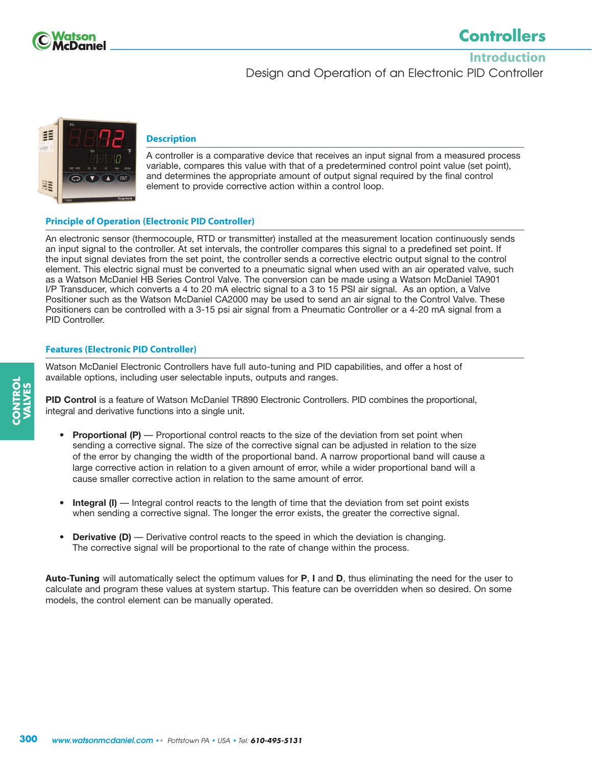

# **Controllers**

**Introduction** Design and Operation of an Electronic PID Controller



#### **Description**

A controller is a comparative device that receives an input signal from a measured process variable, compares this value with that of a predetermined control point value (set point), and determines the appropriate amount of output signal required by the final control element to provide corrective action within a control loop.

#### **Principle of Operation (Electronic PID Controller)**

An electronic sensor (thermocouple, RTD or transmitter) installed at the measurement location continuously sends an input signal to the controller. At set intervals, the controller compares this signal to a predefined set point. If the input signal deviates from the set point, the controller sends a corrective electric output signal to the control element. This electric signal must be converted to a pneumatic signal when used with an air operated valve, such as a Watson McDaniel HB Series Control Valve. The conversion can be made using a Watson McDaniel TA901 I/P Transducer, which converts a 4 to 20 mA electric signal to a 3 to 15 PSI air signal. As an option, a Valve Positioner such as the Watson McDaniel CA2000 may be used to send an air signal to the Control Valve. These Positioners can be controlled with a 3-15 psi air signal from a Pneumatic Controller or a 4-20 mA signal from a PID Controller.

#### **Features (Electronic PID Controller)**

Watson McDaniel Electronic Controllers have full auto-tuning and PID capabilities, and offer a host of available options, including user selectable inputs, outputs and ranges.

**PID Control** is a feature of Watson McDaniel TR890 Electronic Controllers. PID combines the proportional, integral and derivative functions into a single unit.

- **Proportional (P)** Proportional control reacts to the size of the deviation from set point when sending a corrective signal. The size of the corrective signal can be adjusted in relation to the size of the error by changing the width of the proportional band. A narrow proportional band will cause a large corrective action in relation to a given amount of error, while a wider proportional band will a cause smaller corrective action in relation to the same amount of error.
- **Integral (I)** Integral control reacts to the length of time that the deviation from set point exists when sending a corrective signal. The longer the error exists, the greater the corrective signal.
- **Derivative (D)** Derivative control reacts to the speed in which the deviation is changing. The corrective signal will be proportional to the rate of change within the process.

**Auto-Tuning** will automatically select the optimum values for **P**, **I** and **D**, thus eliminating the need for the user to calculate and program these values at system startup. This feature can be overridden when so desired. On some models, the control element can be manually operated.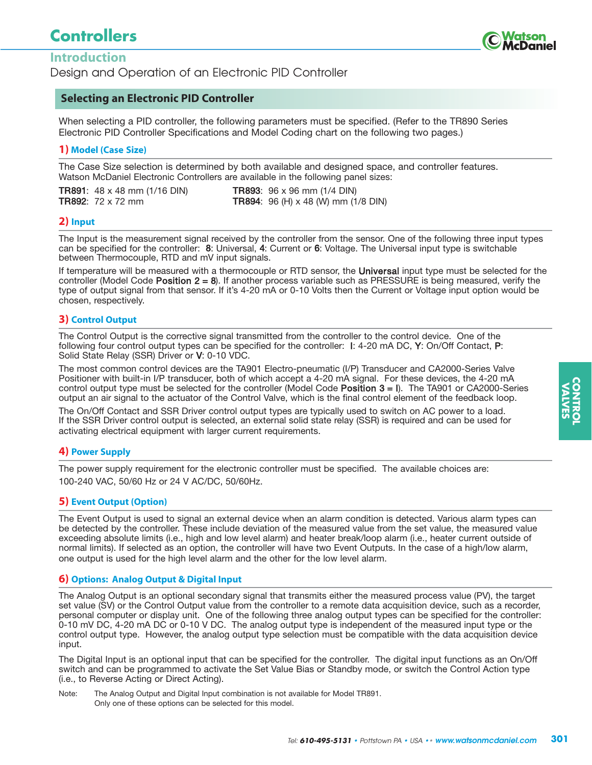# **Controllers**



### **Introduction**

Design and Operation of an Electronic PID Controller

#### **Selecting an Electronic PID Controller**

When selecting a PID controller, the following parameters must be specified. (Refer to the TR890 Series Electronic PID Controller Specifications and Model Coding chart on the following two pages.)

#### **1) Model (Case Size)**

The Case Size selection is determined by both available and designed space, and controller features. Watson McDaniel Electronic Controllers are available in the following panel sizes:

**TR891**: 48 x 48 mm (1/16 DIN) **TR893**: 96 x 96 mm (1/4 DIN) TR892: 72 x 72 mm TR894: 96 (H) x 48 (W) mm (1/8 DIN)

#### **2) Input**

The Input is the measurement signal received by the controller from the sensor. One of the following three input types can be specified for the controller: 8: Universal, 4: Current or 6: Voltage. The Universal input type is switchable between Thermocouple, RTD and mV input signals.

If temperature will be measured with a thermocouple or RTD sensor, the Universal input type must be selected for the controller (Model Code Position  $2 = 8$ ). If another process variable such as PRESSURE is being measured, verify the type of output signal from that sensor. If it's 4-20 mA or 0-10 Volts then the Current or Voltage input option would be chosen, respectively.

#### **3) Control Output**

The Control Output is the corrective signal transmitted from the controller to the control device. One of the following four control output types can be specified for the controller: I: 4-20 mA DC, Y: On/Off Contact, P: Solid State Relay (SSR) Driver or V: 0-10 VDC.

The most common control devices are the TA901 Electro-pneumatic (I/P) Transducer and CA2000-Series Valve Positioner with built-in I/P transducer, both of which accept a 4-20 mA signal. For these devices, the 4-20 mA control output type must be selected for the controller (Model Code Position 3 = I). The TA901 or CA2000-Series output an air signal to the actuator of the Control Valve, which is the final control element of the feedback loop.

The On/Off Contact and SSR Driver control output types are typically used to switch on AC power to a load. If the SSR Driver control output is selected, an external solid state relay (SSR) is required and can be used for activating electrical equipment with larger current requirements.

#### **4) Power Supply**

The power supply requirement for the electronic controller must be specified. The available choices are: 100-240 VAC, 50/60 Hz or 24 V AC/DC, 50/60Hz.

#### **5) Event Output (Option)**

The Event Output is used to signal an external device when an alarm condition is detected. Various alarm types can be detected by the controller. These include deviation of the measured value from the set value, the measured value exceeding absolute limits (i.e., high and low level alarm) and heater break/loop alarm (i.e., heater current outside of normal limits). If selected as an option, the controller will have two Event Outputs. In the case of a high/low alarm, one output is used for the high level alarm and the other for the low level alarm.

#### **6) Options: Analog Output & Digital Input**

The Analog Output is an optional secondary signal that transmits either the measured process value (PV), the target set value (SV) or the Control Output value from the controller to a remote data acquisition device, such as a recorder, personal computer or display unit. One of the following three analog output types can be specified for the controller: 0-10 mV DC, 4-20 mA DC or 0-10 V DC. The analog output type is independent of the measured input type or the control output type. However, the analog output type selection must be compatible with the data acquisition device input.

The Digital Input is an optional input that can be specified for the controller. The digital input functions as an On/Off switch and can be programmed to activate the Set Value Bias or Standby mode, or switch the Control Action type (i.e., to Reverse Acting or Direct Acting).

Note: The Analog Output and Digital Input combination is not available for Model TR891. Only one of these options can be selected for this model.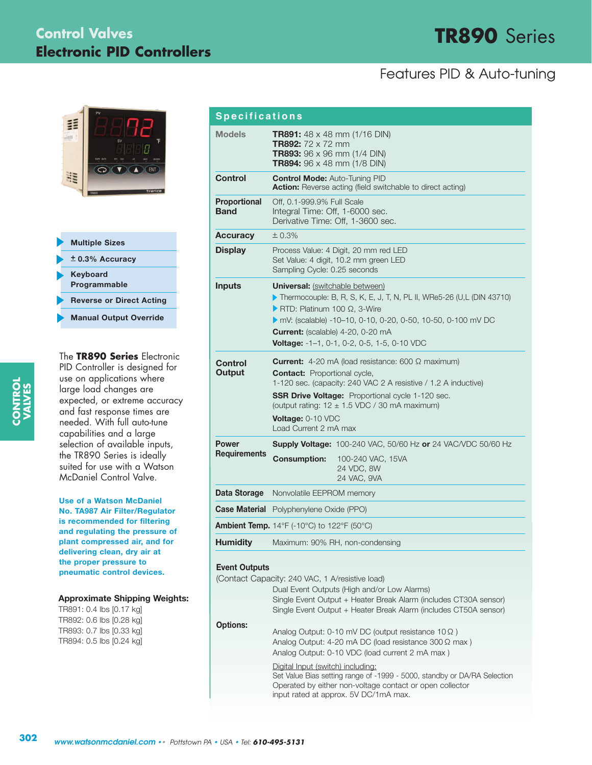# **TR890** Series **Control Valves Electronic PID Controllers**

# Features PID & Auto-tuning





The **TR890 Series** Electronic PID Controller is designed for use on applications where large load changes are expected, or extreme accuracy and fast response times are needed. With full auto-tune capabilities and a large selection of available inputs, the TR890 Series is ideally suited for use with a Watson McDaniel Control Valve.

**Use of a Watson McDaniel No. TA987 Air Filter/Regulator is recommended for filtering and regulating the pressure of plant compressed air, and for delivering clean, dry air at the proper pressure to pneumatic control devices.**

#### **Approximate Shipping Weights:**

TR891: 0.4 lbs [0.17 kg] TR892: 0.6 lbs [0.28 kg] TR893: 0.7 lbs [0.33 kg] TR894: 0.5 lbs [0.24 kg]

| <b>Specifications</b>              |                                                                                                                                                                                                                                                                                                                                               |  |  |  |  |  |  |
|------------------------------------|-----------------------------------------------------------------------------------------------------------------------------------------------------------------------------------------------------------------------------------------------------------------------------------------------------------------------------------------------|--|--|--|--|--|--|
| <b>Models</b>                      | TR891: 48 x 48 mm (1/16 DIN)<br><b>TR892:</b> $72 \times 72$ mm<br><b>TR893:</b> $96 \times 96$ mm (1/4 DIN)<br><b>TR894:</b> $96 \times 48$ mm (1/8 DIN)                                                                                                                                                                                     |  |  |  |  |  |  |
| <b>Control</b>                     | <b>Control Mode: Auto-Tuning PID</b><br><b>Action:</b> Reverse acting (field switchable to direct acting)                                                                                                                                                                                                                                     |  |  |  |  |  |  |
| <b>Proportional</b><br><b>Band</b> | Off, 0.1-999.9% Full Scale<br>Integral Time: Off, 1-6000 sec.<br>Derivative Time: Off, 1-3600 sec.                                                                                                                                                                                                                                            |  |  |  |  |  |  |
| <b>Accuracy</b>                    | ± 0.3%                                                                                                                                                                                                                                                                                                                                        |  |  |  |  |  |  |
| <b>Display</b>                     | Process Value: 4 Digit, 20 mm red LED<br>Set Value: 4 digit, 10.2 mm green LED<br>Sampling Cycle: 0.25 seconds                                                                                                                                                                                                                                |  |  |  |  |  |  |
| <b>Inputs</b>                      | <b>Universal:</b> (switchable between)<br>Thermocouple: B, R, S, K, E, J, T, N, PL II, WRe5-26 (U,L (DIN 43710)<br>RTD: Platinum 100 $\Omega$ , 3-Wire<br>mV: (scalable) -10-10, 0-10, 0-20, 0-50, 10-50, 0-100 mV DC<br><b>Current:</b> (scalable) 4-20, 0-20 mA<br><b>Voltage:</b> $-1-1$ , 0-1, 0-2, 0-5, 1-5, 0-10 VDC                    |  |  |  |  |  |  |
| <b>Control</b><br>Output           | <b>Current:</b> 4-20 mA (load resistance: 600 $\Omega$ maximum)<br><b>Contact:</b> Proportional cycle,<br>1-120 sec. (capacity: 240 VAC 2 A resistive / 1.2 A inductive)<br><b>SSR Drive Voltage:</b> Proportional cycle 1-120 sec.<br>(output rating: $12 \pm 1.5$ VDC / 30 mA maximum)<br><b>Voltage: 0-10 VDC</b><br>Load Current 2 mA max |  |  |  |  |  |  |
| <b>Power</b>                       | <b>Supply Voltage:</b> 100-240 VAC, 50/60 Hz or 24 VAC/VDC 50/60 Hz                                                                                                                                                                                                                                                                           |  |  |  |  |  |  |
| <b>Requirements</b>                | <b>Consumption:</b><br>100-240 VAC, 15VA<br>24 VDC, 8W<br>24 VAC, 9VA                                                                                                                                                                                                                                                                         |  |  |  |  |  |  |
| Data Storage                       | Nonvolatile EEPROM memory                                                                                                                                                                                                                                                                                                                     |  |  |  |  |  |  |
|                                    | <b>Case Material</b> Polyphenylene Oxide (PPO)                                                                                                                                                                                                                                                                                                |  |  |  |  |  |  |
|                                    | <b>Ambient Temp.</b> 14°F (-10°C) to 122°F (50°C)                                                                                                                                                                                                                                                                                             |  |  |  |  |  |  |
| <b>Humidity</b>                    | Maximum: 90% RH, non-condensing                                                                                                                                                                                                                                                                                                               |  |  |  |  |  |  |

#### **Event Outputs**

|                 | (Contact Capacity: 240 VAC, 1 A/resistive load)                                                                                                                               |
|-----------------|-------------------------------------------------------------------------------------------------------------------------------------------------------------------------------|
|                 | Dual Event Outputs (High and/or Low Alarms)                                                                                                                                   |
|                 | Single Event Output + Heater Break Alarm (includes CT30A sensor)                                                                                                              |
|                 | Single Event Output + Heater Break Alarm (includes CT50A sensor)                                                                                                              |
| <b>Options:</b> |                                                                                                                                                                               |
|                 | Analog Output: $0-10$ mV DC (output resistance $10 \Omega$ )                                                                                                                  |
|                 | Analog Output: 4-20 mA DC (load resistance $300 \Omega$ max)                                                                                                                  |
|                 | Analog Output: 0-10 VDC (load current 2 mA max)                                                                                                                               |
|                 | Digital Input (switch) including:                                                                                                                                             |
|                 | Set Value Bias setting range of -1999 - 5000, standby or DA/RA Selection<br>Operated by either non-voltage contact or open collector<br>input rated at approx. 5V DC/1mA max. |
|                 |                                                                                                                                                                               |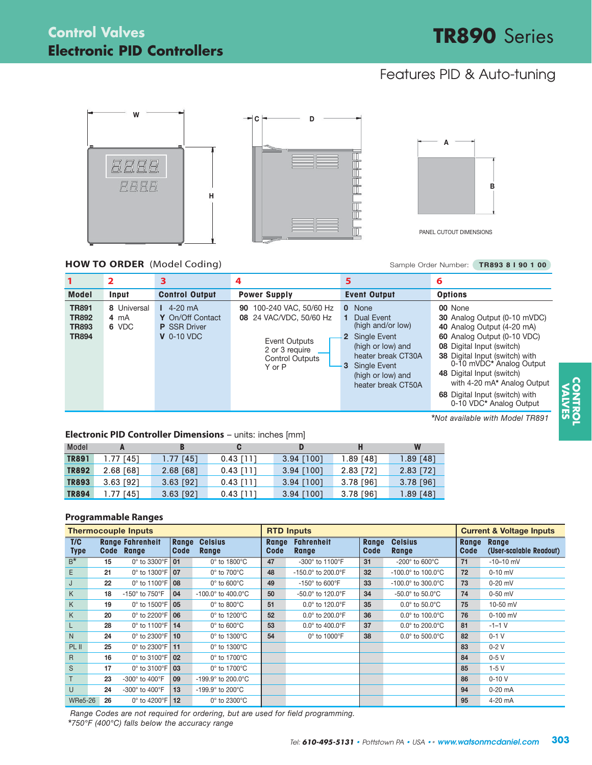# **Electronic PID Controllers Control Valves**

# **TR890** Series

# Features PID & Auto-tuning





PANEL CUTOUT DIMENSIONS

#### **HOW TO ORDER** (Model Coding) Sample Order Number: TR893 8 I 90 1 00

|                                                              | 2                            | 3                                                                             | 4                                                                                                                                | 5                                                                                                                                                                               | 6                                                                                                                                                                                                                                                                                                                        |
|--------------------------------------------------------------|------------------------------|-------------------------------------------------------------------------------|----------------------------------------------------------------------------------------------------------------------------------|---------------------------------------------------------------------------------------------------------------------------------------------------------------------------------|--------------------------------------------------------------------------------------------------------------------------------------------------------------------------------------------------------------------------------------------------------------------------------------------------------------------------|
| <b>Model</b>                                                 | Input                        | <b>Control Output</b>                                                         | <b>Power Supply</b>                                                                                                              | <b>Event Output</b>                                                                                                                                                             | <b>Options</b>                                                                                                                                                                                                                                                                                                           |
| <b>TR891</b><br><b>TR892</b><br><b>TR893</b><br><b>TR894</b> | 8 Universal<br>4 mA<br>6 VDC | $14-20 \text{ mA}$<br>Y On/Off Contact<br><b>P</b> SSR Driver<br>$V$ 0-10 VDC | 100-240 VAC, 50/60 Hz<br>90<br>24 VAC/VDC, 50/60 Hz<br>08<br>Event Outputs<br>2 or 3 require<br><b>Control Outputs</b><br>Y or P | 0 None<br>1 Dual Event<br>(high and/or low)<br>2 Single Event<br>(high or low) and<br>heater break CT30A<br><b>Single Event</b><br>3<br>(high or low) and<br>heater break CT50A | 00 None<br>30 Analog Output (0-10 mVDC)<br>40 Analog Output (4-20 mA)<br>60 Analog Output (0-10 VDC)<br>08 Digital Input (switch)<br>38 Digital Input (switch) with<br>0-10 mVDC* Analog Output<br>48 Digital Input (switch)<br>with 4-20 mA* Analog Output<br>68 Digital Input (switch) with<br>0-10 VDC* Analog Output |

\**Not available with Model TR891*

#### **Electronic PID Controller Dimensions** – units: inches [mm]

| Model        |             |             | C           | D            | н         | W           |
|--------------|-------------|-------------|-------------|--------------|-----------|-------------|
| <b>TR891</b> | 1.77 [45]   | $1.77$ [45] | $0.43$ [11] | $3.94$ [100] | 1.89 [48] | $1.89$ [48] |
| <b>TR892</b> | 2.68 [68]   | $2.68$ [68] | $0.43$ [11] | $3.94$ [100] | 2.83 [72] | 2.83 [72]   |
| <b>TR893</b> | $3.63$ [92] | $3.63$ [92] | $0.43$ [11] | $3.94$ [100] | 3.78 [96] | $3.78$ [96] |
| <b>TR894</b> | l.77 [451   | $3.63$ [92] | 0.43 [11]   | $3.94$ [100] | 3.78 [96] | $1.89$ [48] |

#### **Programmable Ranges**

| <b>Thermocouple Inputs</b> |    |                                        | <b>RTD Inputs</b> |                                        |               |                                       | <b>Current &amp; Voltage Inputs</b> |                                        |               |                                         |
|----------------------------|----|----------------------------------------|-------------------|----------------------------------------|---------------|---------------------------------------|-------------------------------------|----------------------------------------|---------------|-----------------------------------------|
| T/C<br><b>Type</b>         |    | <b>Range Fahrenheit</b><br>Code Range  | Range<br>Code     | <b>Celsius</b><br>Range                | Range<br>Code | <b>Fahrenheit</b><br>Range            | Range<br>Code                       | <b>Celsius</b><br>Range                | Range<br>Code | <b>Range</b><br>(User-scalable Readout) |
| $B^*$                      | 15 | $0^\circ$ to 3300 $^\circ$ F           | 01                | 0° to 1800°C                           | 47            | -300° to 1100°F                       | 31                                  | -200 $^{\circ}$ to 600 $^{\circ}$ C    | 71            | $-10-10$ mV                             |
| E.                         | 21 | 0 $^{\circ}$ to 1300 $^{\circ}$ F   07 |                   | $0^\circ$ to $700^\circ C$             | 48            | $-150.0^{\circ}$ to 200.0°F           | 32                                  | $-100.0^{\circ}$ to $100.0^{\circ}$ C  | 72            | $0-10$ mV                               |
| J                          | 22 | $0^\circ$ to 1100 $^\circ$ F           | 08                | $0^\circ$ to 600 $^\circ$ C            | 49            | -150 $^{\circ}$ to 600 $^{\circ}$ F   | 33                                  | $-100.0^{\circ}$ to 300.0 $^{\circ}$ C | 73            | $0-20$ mV                               |
| K.                         | 18 | -150° to 750°F                         | 04                | $-100.0^{\circ}$ to $400.0^{\circ}$ C  | 50            | $-50.0^{\circ}$ to 120.0 $^{\circ}$ F | 34                                  | $-50.0^{\circ}$ to $50.0^{\circ}$ C    | 74            | $0-50$ mV                               |
| K                          | 19 | $0^{\circ}$ to 1500 $^{\circ}$ F   05  |                   | $0^\circ$ to 800 $^\circ$ C            | 51            | $0.0^{\circ}$ to 120.0 $^{\circ}$ F   | 35                                  | $0.0^\circ$ to $50.0^\circ$ C          | 75            | 10-50 mV                                |
| K                          | 20 | $0^{\circ}$ to 2200 $^{\circ}$ F   06  |                   | $0^\circ$ to 1200 $^\circ$ C           | 52            | $0.0^{\circ}$ to 200.0 $^{\circ}$ F   | 36                                  | $0.0^\circ$ to 100.0 $^\circ$ C        | 76            | $0-100$ mV                              |
| L                          | 28 | 0° to 1100°F   14                      |                   | $0^\circ$ to $600^\circ$ C             | 53            | $0.0^{\circ}$ to $400.0^{\circ}$ F    | 37                                  | $0.0^\circ$ to 200.0 $^\circ$ C        | 81            | $-1-1$ V                                |
| N.                         | 24 | $0^{\circ}$ to 2300 $^{\circ}$ F   10  |                   | $0^\circ$ to 1300 $^\circ$ C           | 54            | $0^\circ$ to 1000 $^\circ$ F          | 38                                  | $0.0^\circ$ to 500.0 $^\circ$ C        | 82            | $0-1$ V                                 |
| PL II                      | 25 | 0 $^{\circ}$ to 2300 $^{\circ}$ F   11 |                   | 0° to 1300°C                           |               |                                       |                                     |                                        | 83            | $0-2V$                                  |
| $\mathsf{R}$               | 16 | $0^{\circ}$ to 3100 $^{\circ}$ F   02  |                   | $0^\circ$ to 1700 $^\circ$ C           |               |                                       |                                     |                                        | 84            | $0-5V$                                  |
| S                          | 17 | $0^{\circ}$ to 3100 $^{\circ}$ F   03  |                   | $0^\circ$ to 1700 $^\circ$ C           |               |                                       |                                     |                                        | 85            | $1-5V$                                  |
| T                          | 23 | -300° to 400°F                         | 09                | $-199.9^{\circ}$ to 200.0 $^{\circ}$ C |               |                                       |                                     |                                        | 86            | $0 - 10V$                               |
| U                          | 24 | -300° to 400°F                         | 13                | $-199.9^{\circ}$ to 200 $^{\circ}$ C   |               |                                       |                                     |                                        | 94            | $0-20$ mA                               |
| <b>WRe5-26</b>             | 26 | $0^\circ$ to 4200 $^\circ$ F           | 12                | $0^\circ$ to 2300 $^\circ$ C           |               |                                       |                                     |                                        | 95            | 4-20 mA                                 |

*Range Codes are not required for ordering, but are used for field programming.* \**750°F (400°C) falls below the accuracy range*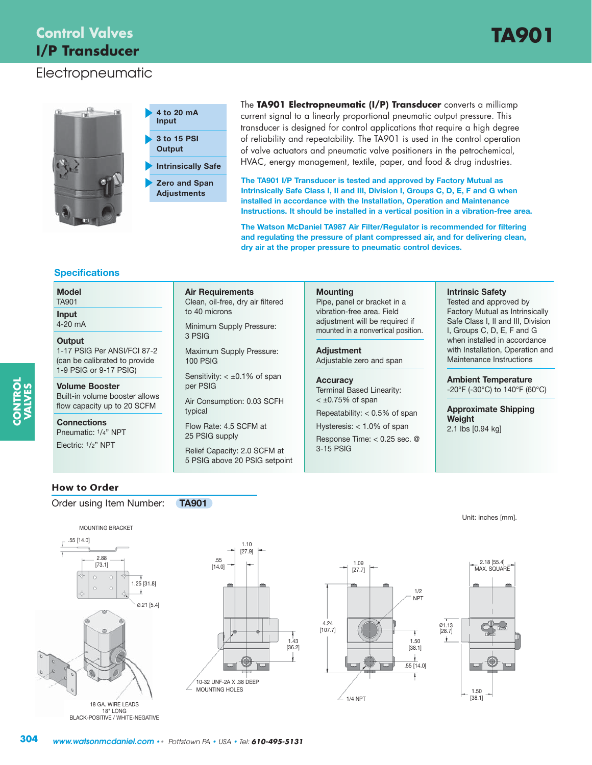# **Control Valves TA901 I/P Transducer**

### Electropneumatic







The **TA901 Electropneumatic (I/P) Transducer** converts a milliamp current signal to a linearly proportional pneumatic output pressure. This transducer is designed for control applications that require a high degree of reliability and repeatability. The TA901 is used in the control operation of valve actuators and pneumatic valve positioners in the petrochemical, HVAC, energy management, textile, paper, and food & drug industries.

**The TA901 I/P Transducer is tested and approved by Factory Mutual as Intrinsically Safe Class I, II and III, Division I, Groups C, D, E, F and G when installed in accordance with the Installation, Operation and Maintenance Instructions. It should be installed in a vertical position in a vibration-free area.**

**The Watson McDaniel TA987 Air Filter/Regulator is recommended for filtering and regulating the pressure of plant compressed air, and for delivering clean, dry air at the proper pressure to pneumatic control devices.**

#### **Specifications**

#### **Model**

TA901

**Input** 4-20 mA

#### **Output**

**CONTROL VALVES** 1-17 PSIG Per ANSI/FCI 87-2 (can be calibrated to provide 1-9 PSIG or 9-17 PSIG)

**Volume Booster**  Built-in volume booster allows flow capacity up to 20 SCFM

**Connections** Pneumatic: 1/4" NPT

Electric: 1/2" NPT

**Air Requirements** Clean, oil-free, dry air filtered

Minimum Supply Pressure: 3 PSIG

to 40 microns

Maximum Supply Pressure: 100 PSIG

Sensitivity:  $< \pm 0.1\%$  of span per PSIG

Air Consumption: 0.03 SCFH typical

Flow Rate: 4.5 SCFM at 25 PSIG supply

Relief Capacity: 2.0 SCFM at 5 PSIG above 20 PSIG setpoint

#### **Mounting**

Pipe, panel or bracket in a vibration-free area. Field adjustment will be required if mounted in a nonvertical position.

**Adjustment** Adjustable zero and span

#### **Accuracy**

Terminal Based Linearity:  $<$   $\pm$ 0.75% of span

Repeatability: < 0.5% of span

Hysteresis: < 1.0% of span Response Time: < 0.25 sec. @ 3-15 PSIG

#### **Intrinsic Safety**

Tested and approved by Factory Mutual as Intrinsically Safe Class I, II and III, Division I, Groups C, D, E, F and G when installed in accordance with Installation, Operation and Maintenance Instructions

**Ambient Temperature** -20°F (-30°C) to 140°F (60°C)

**Approximate Shipping Weight** 2.1 lbs [0.94 kg]

#### **How to Order**

#### Order using Item Number: **TA901**



BLACK-POSITIVE / WHITE-NEGATIVE







#### Unit: inches [mm].

**304** *www.watsonmcdaniel.com* •• Pottstown PA • USA • Tel: *610-495-5131*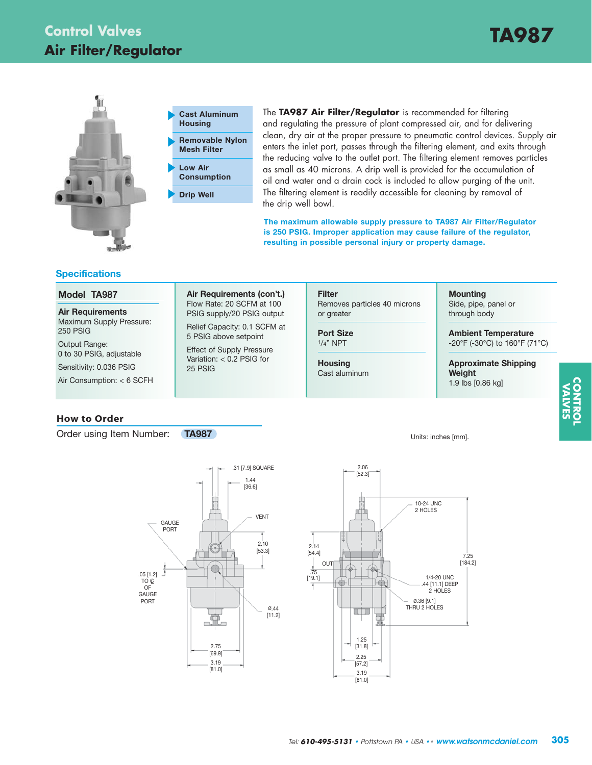



The **TA987 Air Filter/Regulator** is recommended for filtering and regulating the pressure of plant compressed air, and for delivering clean, dry air at the proper pressure to pneumatic control devices. Supply air enters the inlet port, passes through the filtering element, and exits through the reducing valve to the outlet port. The filtering element removes particles as small as 40 microns. A drip well is provided for the accumulation of oil and water and a drain cock is included to allow purging of the unit. The filtering element is readily accessible for cleaning by removal of the drip well bowl.

**The maximum allowable supply pressure to TA987 Air Filter/Regulator is 250 PSIG. Improper application may cause failure of the regulator, resulting in possible personal injury or property damage.**

#### **Specifications**

#### **Model TA987**

**Air Requirements** Maximum Supply Pressure: 250 PSIG

Output Range: 0 to 30 PSIG, adjustable Sensitivity: 0.036 PSIG

Air Consumption: < 6 SCFH

#### **How to Order**

Order using Item Number: **TA987** 

**Air Requirements (con't.)** Flow Rate: 20 SCFM at 100 PSIG supply/20 PSIG output Relief Capacity: 0.1 SCFM at

5 PSIG above setpoint Effect of Supply Pressure Variation: < 0.2 PSIG for 25 PSIG

# **Filter**

Removes particles 40 microns or greater

**Port Size** 1/4" NPT

**Housing** Cast aluminum

### **Mounting**

Side, pipe, panel or through body

**Ambient Temperature** -20°F (-30°C) to 160°F (71°C)

#### **Approximate Shipping Weight** 1.9 lbs [0.86 kg]

**CONTROL VALVES**

Units: inches [mm].



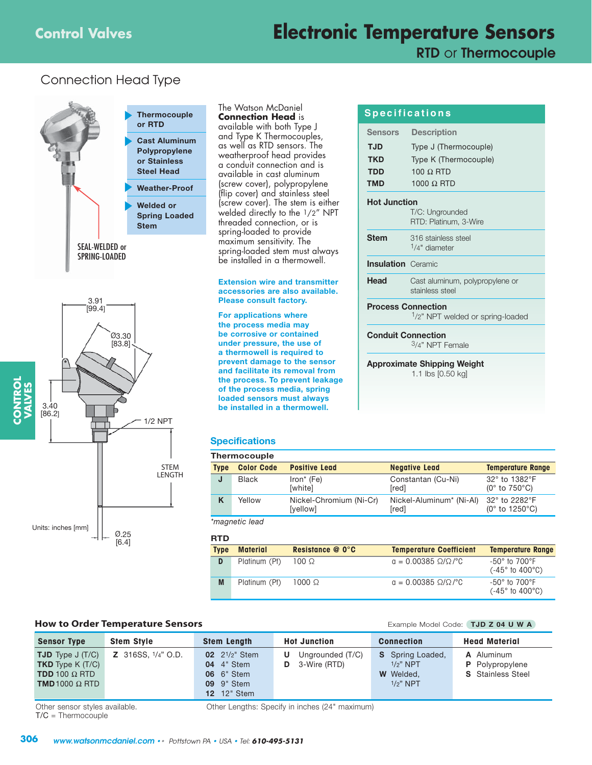# **Control Valves Electronic Temperature Sensors**

**RTD** or **Thermocouple**

### Connection Head Type



The Watson McDaniel **Connection Head** is available with both Type J and Type K Thermocouples, as well as RTD sensors. The weatherproof head provides a conduit connection and is available in cast aluminum (screw cover), polypropylene (flip cover) and stainless steel (screw cover). The stem is either welded directly to the 1/2" NPT threaded connection, or is spring-loaded to provide maximum sensitivity. The spring-loaded stem must always be installed in a thermowell.

#### **Extension wire and transmitter accessories are also available. Please consult factory.**

**For applications where the process media may be corrosive or contained under pressure, the use of a thermowell is required to prevent damage to the sensor and facilitate its removal from the process. To prevent leakage of the process media, spring loaded sensors must always be installed in a thermowell.**

#### **Specifications**

|             | Thermocouple      |                                     |                                               |                                                    |  |  |  |  |  |
|-------------|-------------------|-------------------------------------|-----------------------------------------------|----------------------------------------------------|--|--|--|--|--|
| <b>Type</b> | <b>Color Code</b> | <b>Positive Lead</b>                | <b>Negative Lead</b>                          | <b>Temperature Range</b>                           |  |  |  |  |  |
| J           | <b>Black</b>      | $Iron*$ (Fe)<br>[white]             | Constantan (Cu-Ni)<br>[red]                   | 32° to 1382°F<br>$(0^{\circ}$ to 750 $^{\circ}$ C) |  |  |  |  |  |
| K           | Yellow            | Nickel-Chromium (Ni-Cr)<br>[yellow] | Nickel-Aluminum <sup>*</sup> (Ni-Al)<br>[red] | 32° to 2282°F<br>(0 $\degree$ to 1250 $\degree$ C) |  |  |  |  |  |
|             | *magnetic lead    |                                     |                                               |                                                    |  |  |  |  |  |

#### **RTD**

| .           |                 |                       |                                |                                                                     |
|-------------|-----------------|-----------------------|--------------------------------|---------------------------------------------------------------------|
| <b>Type</b> | <b>Material</b> | Resistance $@$ 0 $°C$ | <b>Temperature Coefficient</b> | <b>Temperature Range</b>                                            |
| D           | Platinum (Pt)   | $100 \Omega$          | $a = 0.00385 \Omega/Q/C$       | $-50^\circ$ to 700 $^\circ$ F<br>$(-45^{\circ}$ to $400^{\circ}$ C) |
| M           | Platinum (Pt)   | $1000 \Omega$         | $a = 0.00385$ Ω/Ω/°C           | $-50^\circ$ to 700 $^\circ$ F<br>$(-45^{\circ}$ to $400^{\circ}$ C) |

#### **How to Order Temperature Sensors Example Model Code: TJD Z 04 U W A**

| <b>Sensor Type</b>                                                                                                  | <b>Stem Style</b>            | <b>Stem Length</b>                                                                                     | <b>Hot Junction</b>                        | <b>Connection</b>                                                         | <b>Head Material</b>                                             |
|---------------------------------------------------------------------------------------------------------------------|------------------------------|--------------------------------------------------------------------------------------------------------|--------------------------------------------|---------------------------------------------------------------------------|------------------------------------------------------------------|
| <b>TJD</b> Type $J(T/C)$<br><b>TKD</b> Type $K(T/C)$<br><b>TDD</b> 100 $\Omega$ RTD<br><b>TMD</b> 1000 $\Omega$ RTD | <b>Z</b> 316SS, $1/4$ " O.D. | 02 $2^{1/2}$ Stem<br><b>04</b> 4" Stem<br><b>06</b> 6" Stem<br><b>09</b> 9" Stem<br><b>12</b> 12" Stem | Ungrounded (T/C)<br>U<br>3-Wire (RTD)<br>D | <b>S</b> Spring Loaded,<br>$1/2$ " NPT<br><b>W</b> Welded.<br>$1/2$ " NPT | A Aluminum<br><b>P</b> Polypropylene<br><b>S</b> Stainless Steel |

T/C = Thermocouple

Other sensor styles available. Other Lengths: Specify in inches (24" maximum)

| <b>Description</b><br>Sensors<br>Type J (Thermocouple)<br>Type K (Thermocouple)<br>$100 \Omega$ RTD |
|-----------------------------------------------------------------------------------------------------|
|                                                                                                     |
|                                                                                                     |
|                                                                                                     |
|                                                                                                     |
| 1000 $\Omega$ RTD                                                                                   |
| <b>Hot Junction</b>                                                                                 |
| T/C: Ungrounded                                                                                     |
| RTD: Platinum. 3-Wire                                                                               |
| 316 stainless steel                                                                                 |
| $1/4"$ diameter                                                                                     |
| <b>Insulation</b> Ceramic                                                                           |
| Cast aluminum, polypropylene or                                                                     |
| stainless steel                                                                                     |
| <b>Process Connection</b>                                                                           |
| 1/2" NPT welded or spring-loaded                                                                    |
| <b>Conduit Connection</b>                                                                           |
| 3/4" NPT Female                                                                                     |
| <b>Approximate Shipping Weight</b>                                                                  |